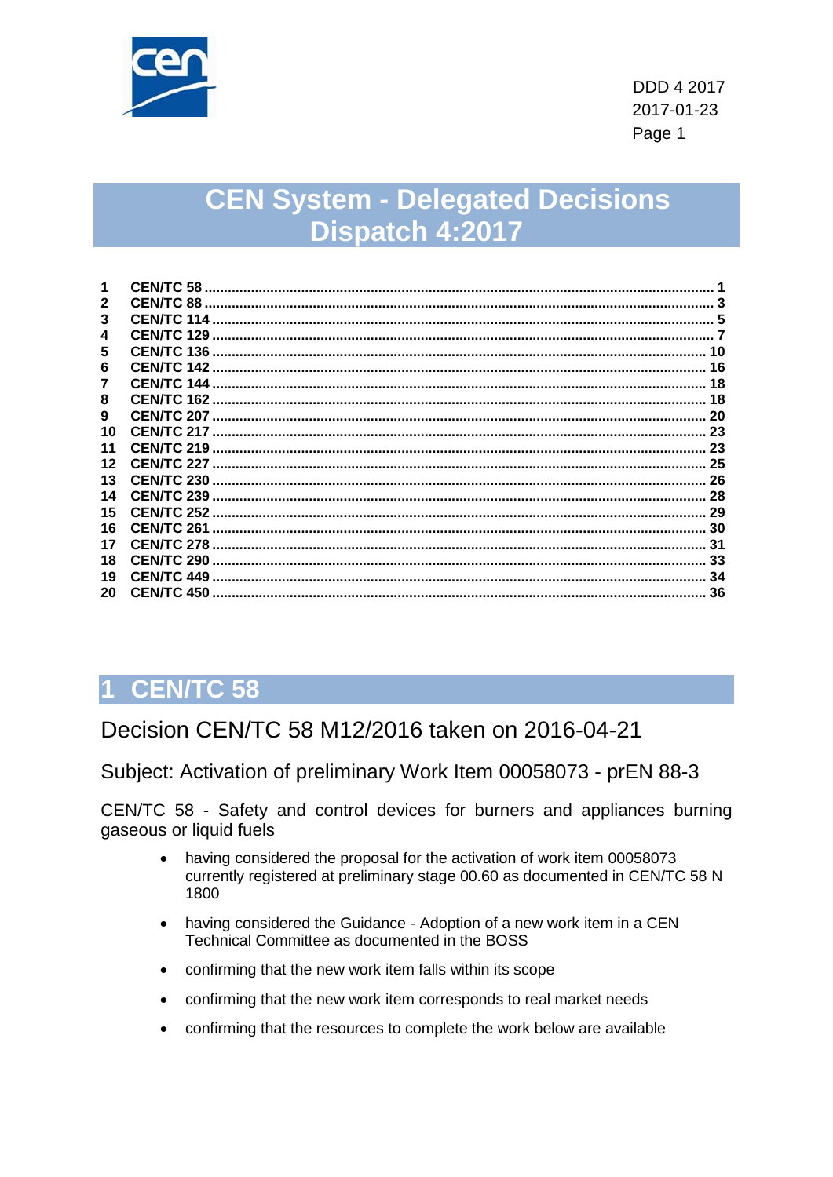

## **CEN System - Delegated Decisions** Dispatch 4:2017

|    | <b>CENTC 58</b>    |    |
|----|--------------------|----|
|    | <b>CEN/TC 88</b>   |    |
| 3  | <b>CEN/TC 114</b>  |    |
| 4  | <b>CEN/TC 129</b>  |    |
| 5  | <b>CEN/TC 136</b>  |    |
| 6  | <b>CEN/TC 142</b>  | 16 |
| 7  | <b>CEN/TC 144</b>  | 18 |
| 8  | <b>CEN/TC 162</b>  | 18 |
| 9  |                    | 20 |
| 10 |                    | 23 |
| 11 | <b>CEN/TC 219</b>  | 23 |
| 12 | <b>CEN/TC 227.</b> | 25 |
| 13 | <b>CEN/TC 230</b>  | 26 |
| 14 | <b>CEN/TC 239</b>  | 28 |
| 15 | <b>CEN/TC 252</b>  |    |
| 16 | <b>CEN/TC 261</b>  | 30 |
| 17 | <b>CEN/TC 278</b>  | 31 |
| 18 | <b>CEN/TC 290</b>  | 33 |
| 19 | <b>CEN/TC 449</b>  | 34 |
| 20 | <b>CEN/TC 450</b>  | 36 |

## <span id="page-0-0"></span>**CEN/TC 58**

Decision CEN/TC 58 M12/2016 taken on 2016-04-21

Subject: Activation of preliminary Work Item 00058073 - prEN 88-3

CEN/TC 58 - Safety and control devices for burners and appliances burning gaseous or liquid fuels

- having considered the proposal for the activation of work item 00058073 currently registered at preliminary stage 00.60 as documented in CEN/TC 58 N 1800
- having considered the Guidance Adoption of a new work item in a CEN Technical Committee as documented in the BOSS
- confirming that the new work item falls within its scope
- confirming that the new work item corresponds to real market needs
- confirming that the resources to complete the work below are available  $\bullet$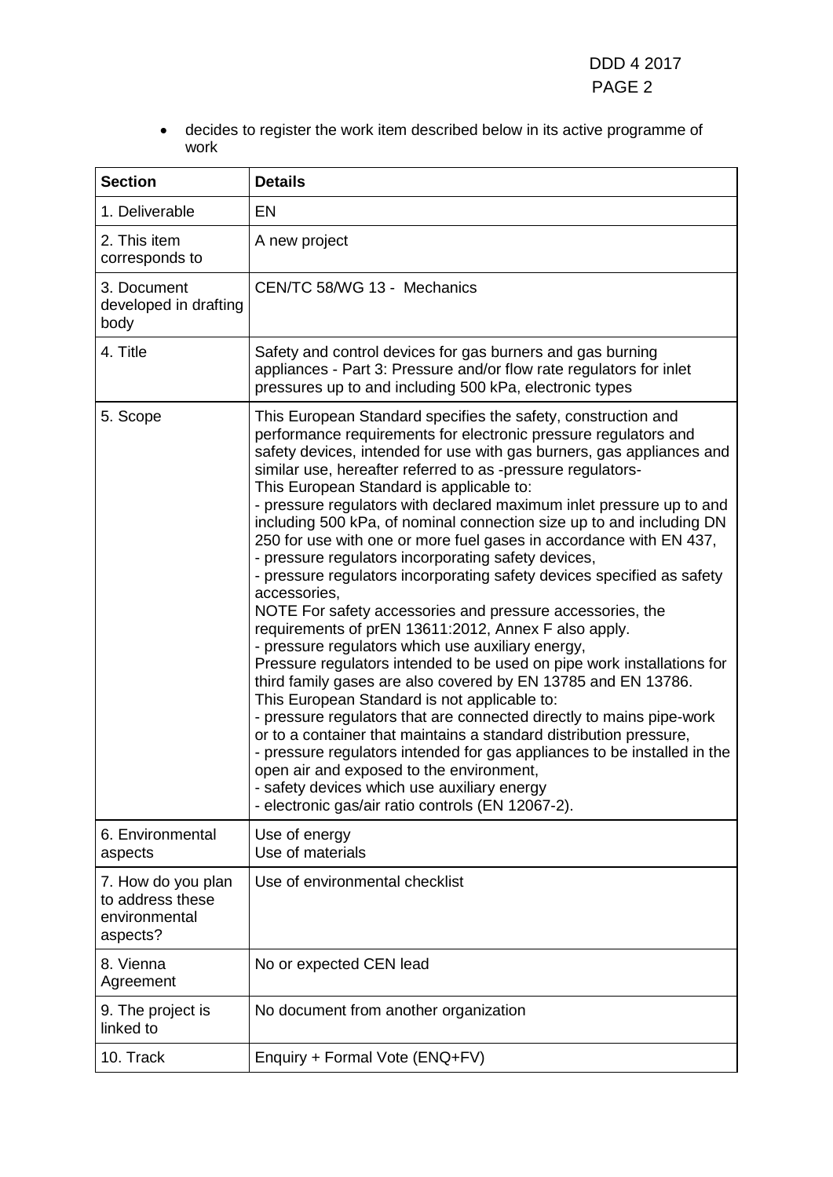• decides to register the work item described below in its active programme of work

| <b>Section</b>                                                      | <b>Details</b>                                                                                                                                                                                                                                                                                                                                                                                                                                                                                                                                                                                                                                                                                                                                                                                                                                                                                                                                                                                                                                                                                                                                                                                                                                                                                                                                                                                                                           |
|---------------------------------------------------------------------|------------------------------------------------------------------------------------------------------------------------------------------------------------------------------------------------------------------------------------------------------------------------------------------------------------------------------------------------------------------------------------------------------------------------------------------------------------------------------------------------------------------------------------------------------------------------------------------------------------------------------------------------------------------------------------------------------------------------------------------------------------------------------------------------------------------------------------------------------------------------------------------------------------------------------------------------------------------------------------------------------------------------------------------------------------------------------------------------------------------------------------------------------------------------------------------------------------------------------------------------------------------------------------------------------------------------------------------------------------------------------------------------------------------------------------------|
| 1. Deliverable                                                      | EN                                                                                                                                                                                                                                                                                                                                                                                                                                                                                                                                                                                                                                                                                                                                                                                                                                                                                                                                                                                                                                                                                                                                                                                                                                                                                                                                                                                                                                       |
| 2. This item<br>corresponds to                                      | A new project                                                                                                                                                                                                                                                                                                                                                                                                                                                                                                                                                                                                                                                                                                                                                                                                                                                                                                                                                                                                                                                                                                                                                                                                                                                                                                                                                                                                                            |
| 3. Document<br>developed in drafting<br>body                        | CEN/TC 58/WG 13 - Mechanics                                                                                                                                                                                                                                                                                                                                                                                                                                                                                                                                                                                                                                                                                                                                                                                                                                                                                                                                                                                                                                                                                                                                                                                                                                                                                                                                                                                                              |
| 4. Title                                                            | Safety and control devices for gas burners and gas burning<br>appliances - Part 3: Pressure and/or flow rate regulators for inlet<br>pressures up to and including 500 kPa, electronic types                                                                                                                                                                                                                                                                                                                                                                                                                                                                                                                                                                                                                                                                                                                                                                                                                                                                                                                                                                                                                                                                                                                                                                                                                                             |
| 5. Scope                                                            | This European Standard specifies the safety, construction and<br>performance requirements for electronic pressure regulators and<br>safety devices, intended for use with gas burners, gas appliances and<br>similar use, hereafter referred to as -pressure regulators-<br>This European Standard is applicable to:<br>- pressure regulators with declared maximum inlet pressure up to and<br>including 500 kPa, of nominal connection size up to and including DN<br>250 for use with one or more fuel gases in accordance with EN 437,<br>- pressure regulators incorporating safety devices,<br>- pressure regulators incorporating safety devices specified as safety<br>accessories,<br>NOTE For safety accessories and pressure accessories, the<br>requirements of prEN 13611:2012, Annex F also apply.<br>- pressure regulators which use auxiliary energy,<br>Pressure regulators intended to be used on pipe work installations for<br>third family gases are also covered by EN 13785 and EN 13786.<br>This European Standard is not applicable to:<br>- pressure regulators that are connected directly to mains pipe-work<br>or to a container that maintains a standard distribution pressure,<br>- pressure regulators intended for gas appliances to be installed in the<br>open air and exposed to the environment,<br>safety devices which use auxiliary energy<br>- electronic gas/air ratio controls (EN 12067-2). |
| 6. Environmental<br>aspects                                         | Use of energy<br>Use of materials                                                                                                                                                                                                                                                                                                                                                                                                                                                                                                                                                                                                                                                                                                                                                                                                                                                                                                                                                                                                                                                                                                                                                                                                                                                                                                                                                                                                        |
| 7. How do you plan<br>to address these<br>environmental<br>aspects? | Use of environmental checklist                                                                                                                                                                                                                                                                                                                                                                                                                                                                                                                                                                                                                                                                                                                                                                                                                                                                                                                                                                                                                                                                                                                                                                                                                                                                                                                                                                                                           |
| 8. Vienna<br>Agreement                                              | No or expected CEN lead                                                                                                                                                                                                                                                                                                                                                                                                                                                                                                                                                                                                                                                                                                                                                                                                                                                                                                                                                                                                                                                                                                                                                                                                                                                                                                                                                                                                                  |
| 9. The project is<br>linked to                                      | No document from another organization                                                                                                                                                                                                                                                                                                                                                                                                                                                                                                                                                                                                                                                                                                                                                                                                                                                                                                                                                                                                                                                                                                                                                                                                                                                                                                                                                                                                    |
| 10. Track                                                           | Enquiry + Formal Vote (ENQ+FV)                                                                                                                                                                                                                                                                                                                                                                                                                                                                                                                                                                                                                                                                                                                                                                                                                                                                                                                                                                                                                                                                                                                                                                                                                                                                                                                                                                                                           |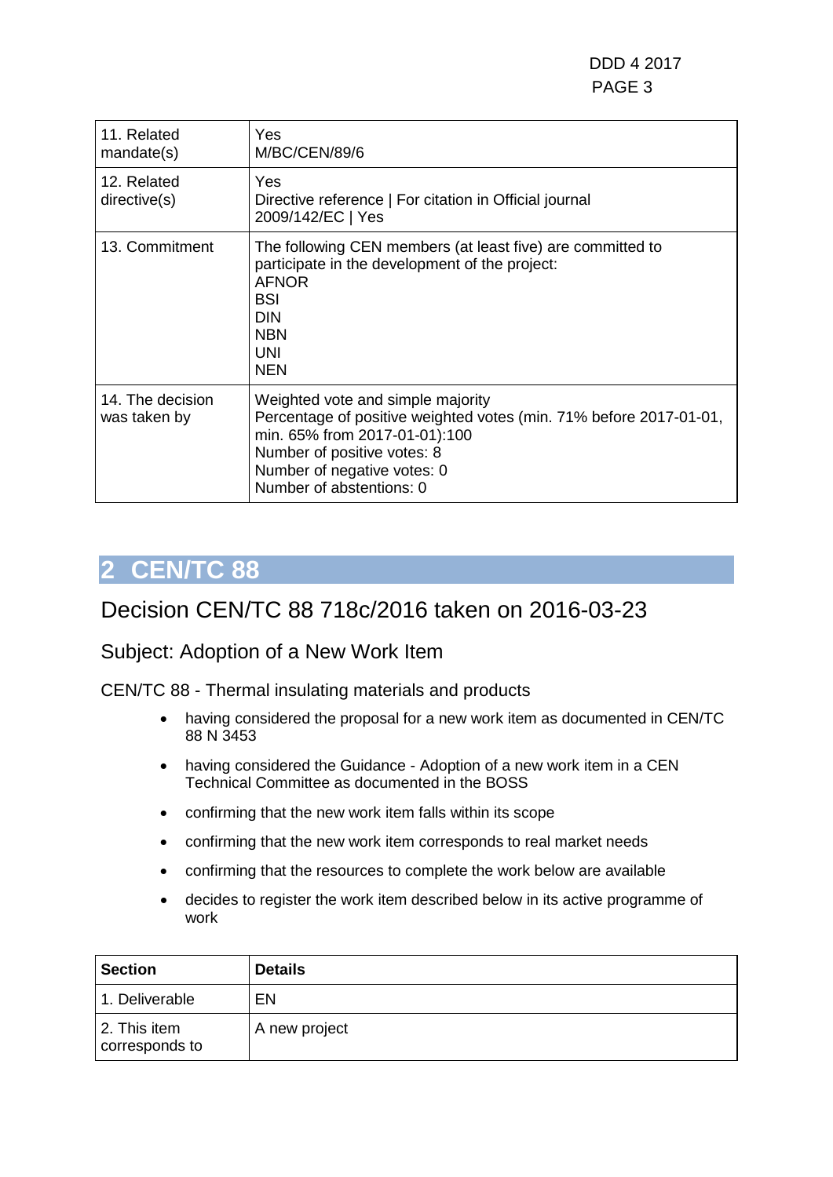| 11. Related<br>mandate(s)        | <b>Yes</b><br><b>M/BC/CEN/89/6</b>                                                                                                                                                                                                 |
|----------------------------------|------------------------------------------------------------------------------------------------------------------------------------------------------------------------------------------------------------------------------------|
| 12. Related<br>directive(s)      | Yes<br>Directive reference   For citation in Official journal<br>2009/142/EC   Yes                                                                                                                                                 |
| 13. Commitment                   | The following CEN members (at least five) are committed to<br>participate in the development of the project:<br><b>AFNOR</b><br><b>BSI</b><br><b>DIN</b><br><b>NBN</b><br><b>UNI</b><br><b>NEN</b>                                 |
| 14. The decision<br>was taken by | Weighted vote and simple majority<br>Percentage of positive weighted votes (min. 71% before 2017-01-01,<br>min. 65% from 2017-01-01):100<br>Number of positive votes: 8<br>Number of negative votes: 0<br>Number of abstentions: 0 |

### <span id="page-2-0"></span>Decision CEN/TC 88 718c/2016 taken on 2016-03-23

### Subject: Adoption of a New Work Item

CEN/TC 88 - Thermal insulating materials and products

- having considered the proposal for a new work item as documented in CEN/TC 88 N 3453
- having considered the Guidance Adoption of a new work item in a CEN Technical Committee as documented in the BOSS
- confirming that the new work item falls within its scope
- confirming that the new work item corresponds to real market needs
- confirming that the resources to complete the work below are available
- decides to register the work item described below in its active programme of work

| <b>Section</b>                 | <b>Details</b> |
|--------------------------------|----------------|
| 1. Deliverable                 | EN             |
| 2. This item<br>corresponds to | A new project  |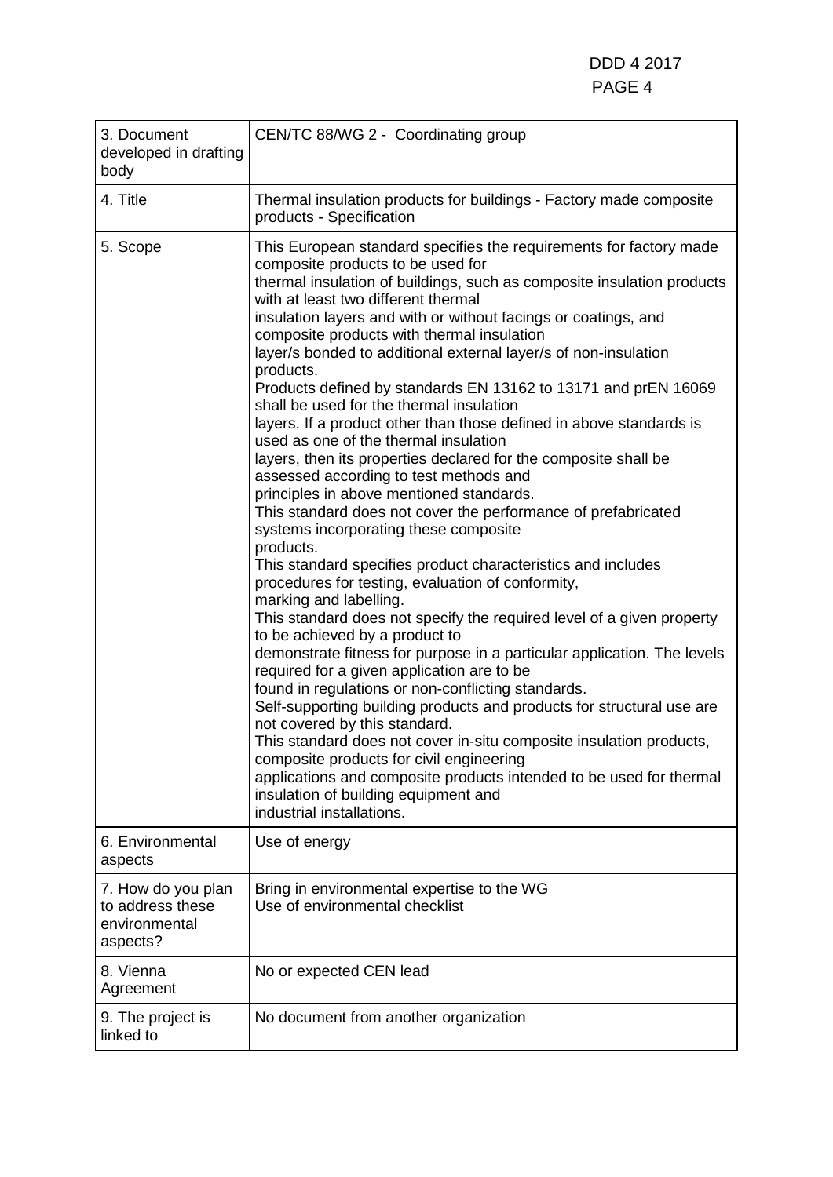| 3. Document<br>developed in drafting<br>body                        | CEN/TC 88/WG 2 - Coordinating group                                                                                                                                                                                                                                                                                                                                                                                                                                                                                                                                                                                                                                                                                                                                                                                                                                                                                                                                                                                                                                                                                                                                                                                                                                                                                                                                                                                                                                                                                                                                                                                                                                                                                                                      |
|---------------------------------------------------------------------|----------------------------------------------------------------------------------------------------------------------------------------------------------------------------------------------------------------------------------------------------------------------------------------------------------------------------------------------------------------------------------------------------------------------------------------------------------------------------------------------------------------------------------------------------------------------------------------------------------------------------------------------------------------------------------------------------------------------------------------------------------------------------------------------------------------------------------------------------------------------------------------------------------------------------------------------------------------------------------------------------------------------------------------------------------------------------------------------------------------------------------------------------------------------------------------------------------------------------------------------------------------------------------------------------------------------------------------------------------------------------------------------------------------------------------------------------------------------------------------------------------------------------------------------------------------------------------------------------------------------------------------------------------------------------------------------------------------------------------------------------------|
| 4. Title                                                            | Thermal insulation products for buildings - Factory made composite<br>products - Specification                                                                                                                                                                                                                                                                                                                                                                                                                                                                                                                                                                                                                                                                                                                                                                                                                                                                                                                                                                                                                                                                                                                                                                                                                                                                                                                                                                                                                                                                                                                                                                                                                                                           |
| 5. Scope                                                            | This European standard specifies the requirements for factory made<br>composite products to be used for<br>thermal insulation of buildings, such as composite insulation products<br>with at least two different thermal<br>insulation layers and with or without facings or coatings, and<br>composite products with thermal insulation<br>layer/s bonded to additional external layer/s of non-insulation<br>products.<br>Products defined by standards EN 13162 to 13171 and prEN 16069<br>shall be used for the thermal insulation<br>layers. If a product other than those defined in above standards is<br>used as one of the thermal insulation<br>layers, then its properties declared for the composite shall be<br>assessed according to test methods and<br>principles in above mentioned standards.<br>This standard does not cover the performance of prefabricated<br>systems incorporating these composite<br>products.<br>This standard specifies product characteristics and includes<br>procedures for testing, evaluation of conformity,<br>marking and labelling.<br>This standard does not specify the required level of a given property<br>to be achieved by a product to<br>demonstrate fitness for purpose in a particular application. The levels<br>required for a given application are to be<br>found in regulations or non-conflicting standards.<br>Self-supporting building products and products for structural use are<br>not covered by this standard.<br>This standard does not cover in-situ composite insulation products,<br>composite products for civil engineering<br>applications and composite products intended to be used for thermal<br>insulation of building equipment and<br>industrial installations. |
| 6. Environmental<br>aspects                                         | Use of energy                                                                                                                                                                                                                                                                                                                                                                                                                                                                                                                                                                                                                                                                                                                                                                                                                                                                                                                                                                                                                                                                                                                                                                                                                                                                                                                                                                                                                                                                                                                                                                                                                                                                                                                                            |
| 7. How do you plan<br>to address these<br>environmental<br>aspects? | Bring in environmental expertise to the WG<br>Use of environmental checklist                                                                                                                                                                                                                                                                                                                                                                                                                                                                                                                                                                                                                                                                                                                                                                                                                                                                                                                                                                                                                                                                                                                                                                                                                                                                                                                                                                                                                                                                                                                                                                                                                                                                             |
| 8. Vienna<br>Agreement                                              | No or expected CEN lead                                                                                                                                                                                                                                                                                                                                                                                                                                                                                                                                                                                                                                                                                                                                                                                                                                                                                                                                                                                                                                                                                                                                                                                                                                                                                                                                                                                                                                                                                                                                                                                                                                                                                                                                  |
| 9. The project is<br>linked to                                      | No document from another organization                                                                                                                                                                                                                                                                                                                                                                                                                                                                                                                                                                                                                                                                                                                                                                                                                                                                                                                                                                                                                                                                                                                                                                                                                                                                                                                                                                                                                                                                                                                                                                                                                                                                                                                    |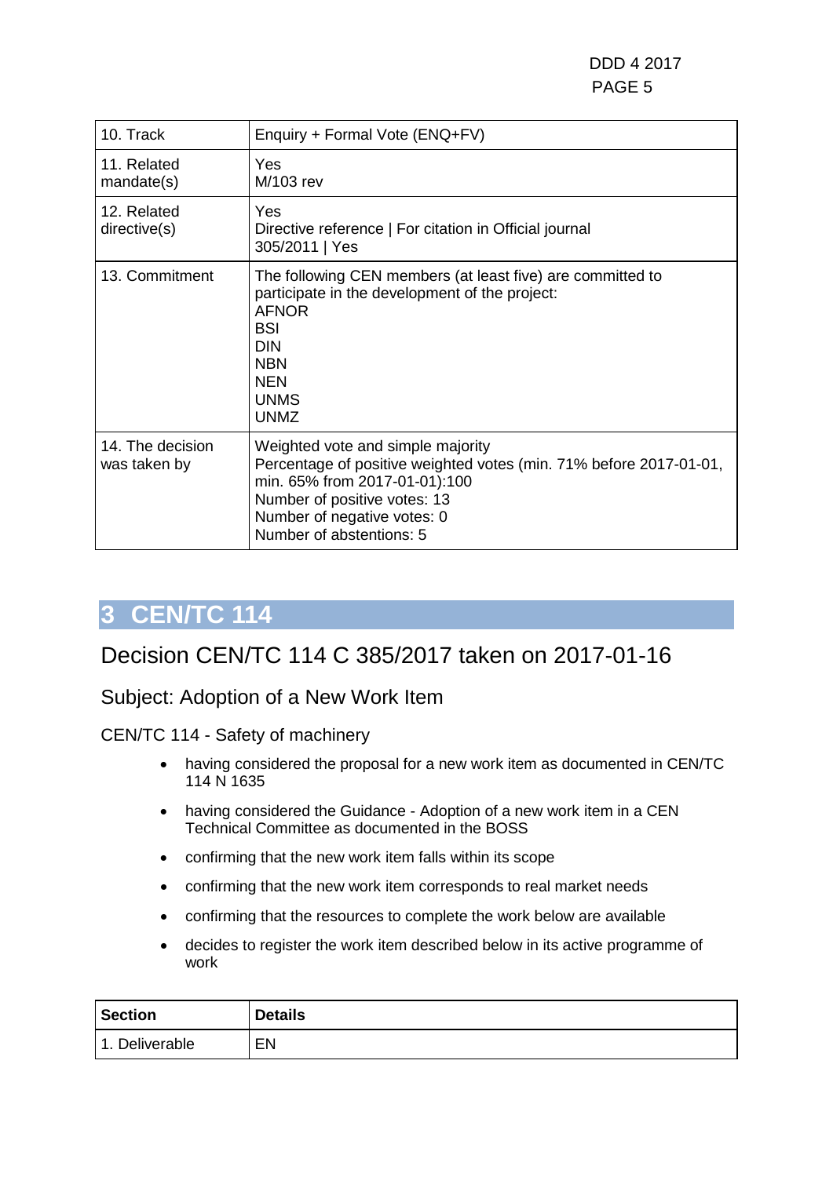| 10. Track                        | Enquiry + Formal Vote (ENQ+FV)                                                                                                                                                                                                      |
|----------------------------------|-------------------------------------------------------------------------------------------------------------------------------------------------------------------------------------------------------------------------------------|
| 11. Related<br>mandate(s)        | Yes<br>M/103 rev                                                                                                                                                                                                                    |
| 12. Related<br>directive(s)      | Yes<br>Directive reference   For citation in Official journal<br>305/2011   Yes                                                                                                                                                     |
| 13. Commitment                   | The following CEN members (at least five) are committed to<br>participate in the development of the project:<br><b>AFNOR</b><br><b>BSI</b><br><b>DIN</b><br><b>NBN</b><br><b>NEN</b><br><b>UNMS</b><br><b>UNMZ</b>                  |
| 14. The decision<br>was taken by | Weighted vote and simple majority<br>Percentage of positive weighted votes (min. 71% before 2017-01-01,<br>min. 65% from 2017-01-01):100<br>Number of positive votes: 13<br>Number of negative votes: 0<br>Number of abstentions: 5 |

### <span id="page-4-0"></span>Decision CEN/TC 114 C 385/2017 taken on 2017-01-16

### Subject: Adoption of a New Work Item

CEN/TC 114 - Safety of machinery

- having considered the proposal for a new work item as documented in CEN/TC 114 N 1635
- having considered the Guidance Adoption of a new work item in a CEN Technical Committee as documented in the BOSS
- confirming that the new work item falls within its scope
- confirming that the new work item corresponds to real market needs
- confirming that the resources to complete the work below are available
- decides to register the work item described below in its active programme of work

| <b>Section</b>                | <b>Details</b> |
|-------------------------------|----------------|
| Deliverable<br>$\overline{1}$ | EN             |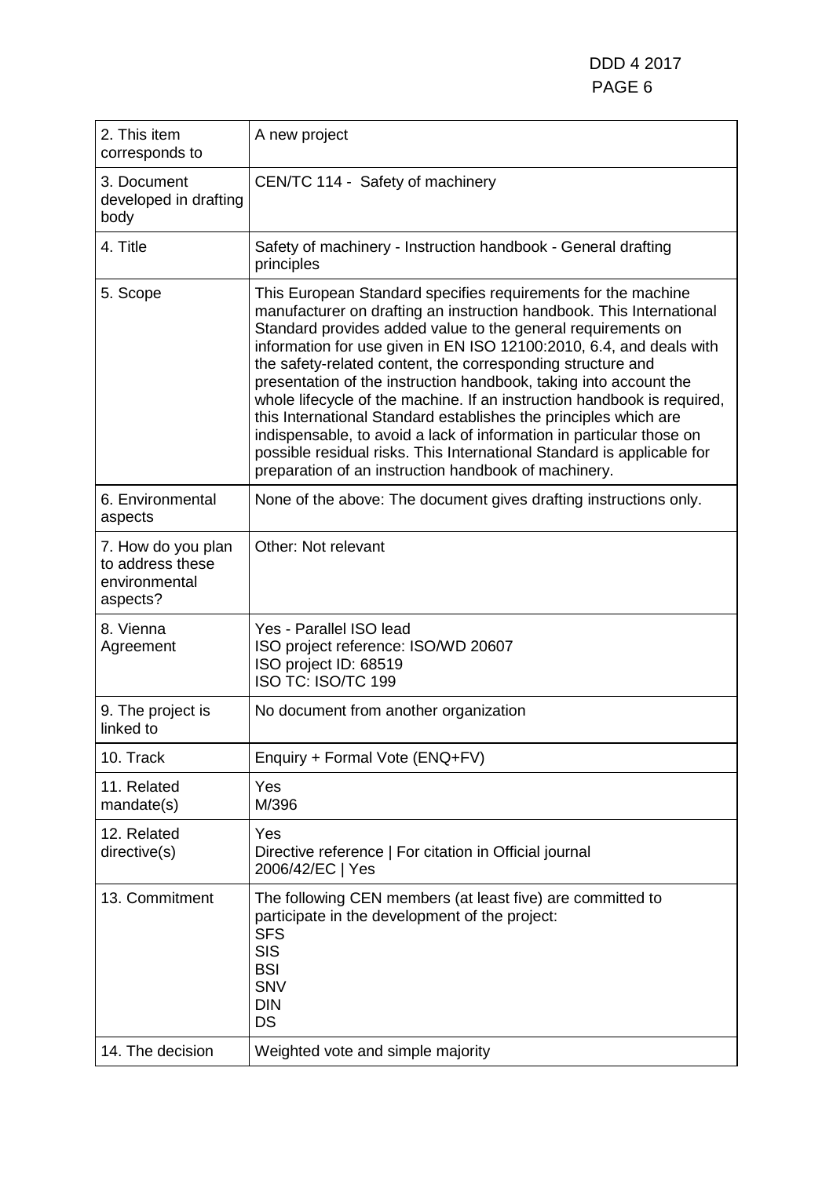DDD 4 2017 PAGE 6

| 2. This item<br>corresponds to                                      | A new project                                                                                                                                                                                                                                                                                                                                                                                                                                                                                                                                                                                                                                                                                                                                                             |
|---------------------------------------------------------------------|---------------------------------------------------------------------------------------------------------------------------------------------------------------------------------------------------------------------------------------------------------------------------------------------------------------------------------------------------------------------------------------------------------------------------------------------------------------------------------------------------------------------------------------------------------------------------------------------------------------------------------------------------------------------------------------------------------------------------------------------------------------------------|
| 3. Document<br>developed in drafting<br>body                        | CEN/TC 114 - Safety of machinery                                                                                                                                                                                                                                                                                                                                                                                                                                                                                                                                                                                                                                                                                                                                          |
| 4. Title                                                            | Safety of machinery - Instruction handbook - General drafting<br>principles                                                                                                                                                                                                                                                                                                                                                                                                                                                                                                                                                                                                                                                                                               |
| 5. Scope                                                            | This European Standard specifies requirements for the machine<br>manufacturer on drafting an instruction handbook. This International<br>Standard provides added value to the general requirements on<br>information for use given in EN ISO 12100:2010, 6.4, and deals with<br>the safety-related content, the corresponding structure and<br>presentation of the instruction handbook, taking into account the<br>whole lifecycle of the machine. If an instruction handbook is required,<br>this International Standard establishes the principles which are<br>indispensable, to avoid a lack of information in particular those on<br>possible residual risks. This International Standard is applicable for<br>preparation of an instruction handbook of machinery. |
| 6. Environmental<br>aspects                                         | None of the above: The document gives drafting instructions only.                                                                                                                                                                                                                                                                                                                                                                                                                                                                                                                                                                                                                                                                                                         |
| 7. How do you plan<br>to address these<br>environmental<br>aspects? | Other: Not relevant                                                                                                                                                                                                                                                                                                                                                                                                                                                                                                                                                                                                                                                                                                                                                       |
| 8. Vienna<br>Agreement                                              | Yes - Parallel ISO lead<br>ISO project reference: ISO/WD 20607<br>ISO project ID: 68519<br>ISO TC: ISO/TC 199                                                                                                                                                                                                                                                                                                                                                                                                                                                                                                                                                                                                                                                             |
| 9. The project is<br>linked to                                      | No document from another organization                                                                                                                                                                                                                                                                                                                                                                                                                                                                                                                                                                                                                                                                                                                                     |
| 10. Track                                                           | Enquiry + Formal Vote (ENQ+FV)                                                                                                                                                                                                                                                                                                                                                                                                                                                                                                                                                                                                                                                                                                                                            |
| 11. Related<br>mandate(s)                                           | Yes<br>M/396                                                                                                                                                                                                                                                                                                                                                                                                                                                                                                                                                                                                                                                                                                                                                              |
| 12. Related<br>directive(s)                                         | Yes<br>Directive reference   For citation in Official journal<br>2006/42/EC   Yes                                                                                                                                                                                                                                                                                                                                                                                                                                                                                                                                                                                                                                                                                         |
| 13. Commitment                                                      | The following CEN members (at least five) are committed to<br>participate in the development of the project:<br><b>SFS</b><br><b>SIS</b><br><b>BSI</b><br><b>SNV</b><br><b>DIN</b><br>DS                                                                                                                                                                                                                                                                                                                                                                                                                                                                                                                                                                                  |
| 14. The decision                                                    | Weighted vote and simple majority                                                                                                                                                                                                                                                                                                                                                                                                                                                                                                                                                                                                                                                                                                                                         |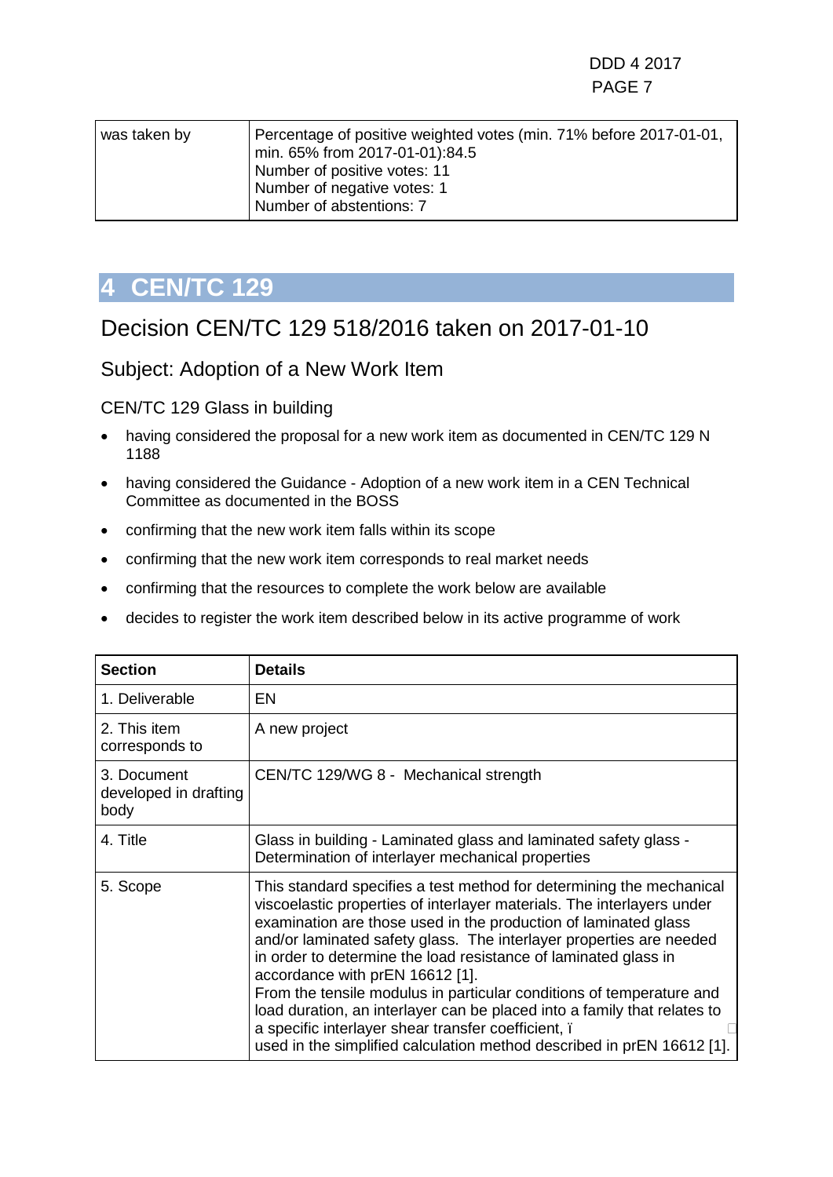| was taken by | Percentage of positive weighted votes (min. 71% before 2017-01-01,<br>min. 65% from 2017-01-01):84.5<br>Number of positive votes: 11<br>Number of negative votes: 1<br>Number of abstentions: 7 |
|--------------|-------------------------------------------------------------------------------------------------------------------------------------------------------------------------------------------------|
|              |                                                                                                                                                                                                 |

### <span id="page-6-0"></span>Decision CEN/TC 129 518/2016 taken on 2017-01-10

### Subject: Adoption of a New Work Item

#### CEN/TC 129 Glass in building

- having considered the proposal for a new work item as documented in CEN/TC 129 N 1188
- having considered the Guidance Adoption of a new work item in a CEN Technical Committee as documented in the BOSS
- confirming that the new work item falls within its scope
- confirming that the new work item corresponds to real market needs
- confirming that the resources to complete the work below are available
- decides to register the work item described below in its active programme of work

| <b>Section</b>                               | <b>Details</b>                                                                                                                                                                                                                                                                                                                                                                                                                                                                                                                                                                                                                                                                      |
|----------------------------------------------|-------------------------------------------------------------------------------------------------------------------------------------------------------------------------------------------------------------------------------------------------------------------------------------------------------------------------------------------------------------------------------------------------------------------------------------------------------------------------------------------------------------------------------------------------------------------------------------------------------------------------------------------------------------------------------------|
| 1. Deliverable                               | EN                                                                                                                                                                                                                                                                                                                                                                                                                                                                                                                                                                                                                                                                                  |
| 2. This item<br>corresponds to               | A new project                                                                                                                                                                                                                                                                                                                                                                                                                                                                                                                                                                                                                                                                       |
| 3. Document<br>developed in drafting<br>body | CEN/TC 129/WG 8 - Mechanical strength                                                                                                                                                                                                                                                                                                                                                                                                                                                                                                                                                                                                                                               |
| 4. Title                                     | Glass in building - Laminated glass and laminated safety glass -<br>Determination of interlayer mechanical properties                                                                                                                                                                                                                                                                                                                                                                                                                                                                                                                                                               |
| 5. Scope                                     | This standard specifies a test method for determining the mechanical<br>viscoelastic properties of interlayer materials. The interlayers under<br>examination are those used in the production of laminated glass<br>and/or laminated safety glass. The interlayer properties are needed<br>in order to determine the load resistance of laminated glass in<br>accordance with prEN 16612 [1].<br>From the tensile modulus in particular conditions of temperature and<br>load duration, an interlayer can be placed into a family that relates to<br>a specific interlayer shear transfer coefficient, i<br>used in the simplified calculation method described in prEN 16612 [1]. |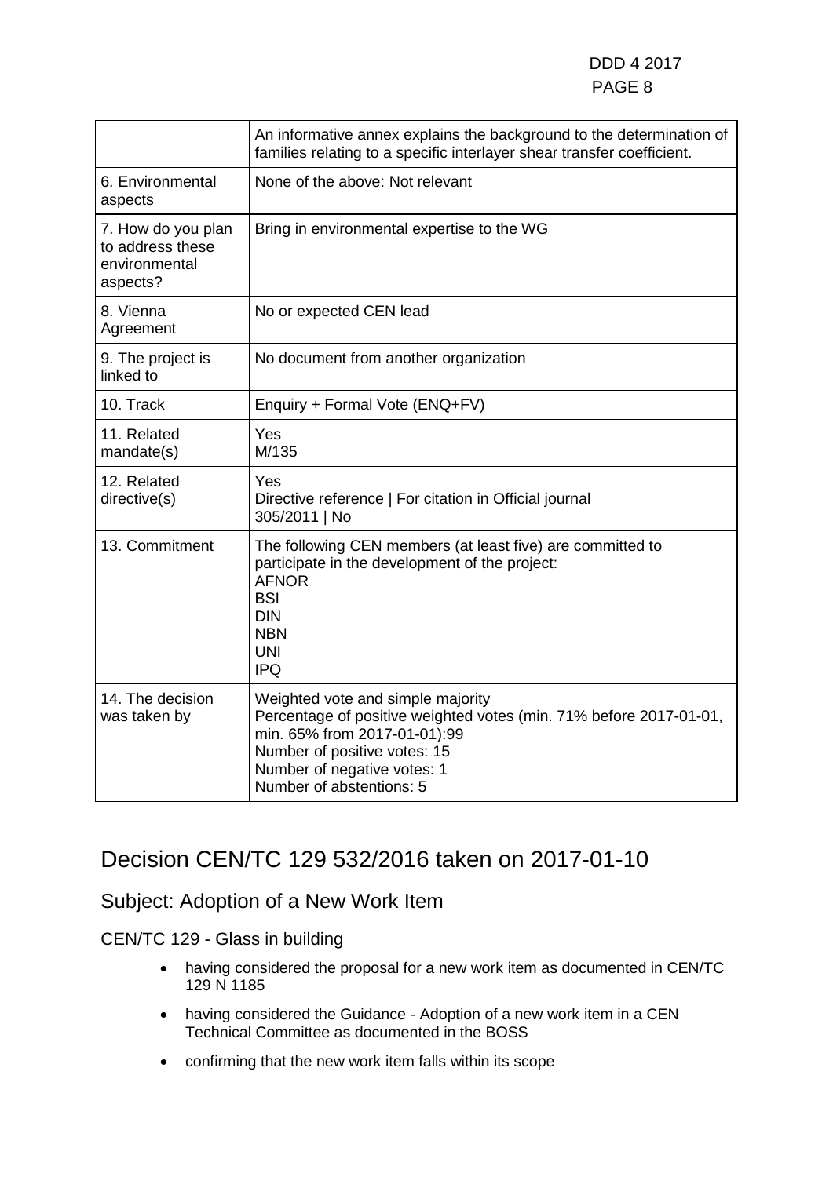|                                                                     | An informative annex explains the background to the determination of<br>families relating to a specific interlayer shear transfer coefficient.                                                                                     |
|---------------------------------------------------------------------|------------------------------------------------------------------------------------------------------------------------------------------------------------------------------------------------------------------------------------|
| 6. Environmental<br>aspects                                         | None of the above: Not relevant                                                                                                                                                                                                    |
| 7. How do you plan<br>to address these<br>environmental<br>aspects? | Bring in environmental expertise to the WG                                                                                                                                                                                         |
| 8. Vienna<br>Agreement                                              | No or expected CEN lead                                                                                                                                                                                                            |
| 9. The project is<br>linked to                                      | No document from another organization                                                                                                                                                                                              |
| 10. Track                                                           | Enquiry + Formal Vote (ENQ+FV)                                                                                                                                                                                                     |
| 11. Related<br>mandate(s)                                           | Yes<br>M/135                                                                                                                                                                                                                       |
| 12. Related<br>directive(s)                                         | Yes<br>Directive reference   For citation in Official journal<br>305/2011   No                                                                                                                                                     |
| 13. Commitment                                                      | The following CEN members (at least five) are committed to<br>participate in the development of the project:<br><b>AFNOR</b><br><b>BSI</b><br><b>DIN</b><br><b>NBN</b><br><b>UNI</b><br><b>IPQ</b>                                 |
| 14. The decision<br>was taken by                                    | Weighted vote and simple majority<br>Percentage of positive weighted votes (min. 71% before 2017-01-01,<br>min. 65% from 2017-01-01):99<br>Number of positive votes: 15<br>Number of negative votes: 1<br>Number of abstentions: 5 |

### Decision CEN/TC 129 532/2016 taken on 2017-01-10

### Subject: Adoption of a New Work Item

CEN/TC 129 - Glass in building

- having considered the proposal for a new work item as documented in CEN/TC 129 N 1185
- having considered the Guidance Adoption of a new work item in a CEN Technical Committee as documented in the BOSS
- confirming that the new work item falls within its scope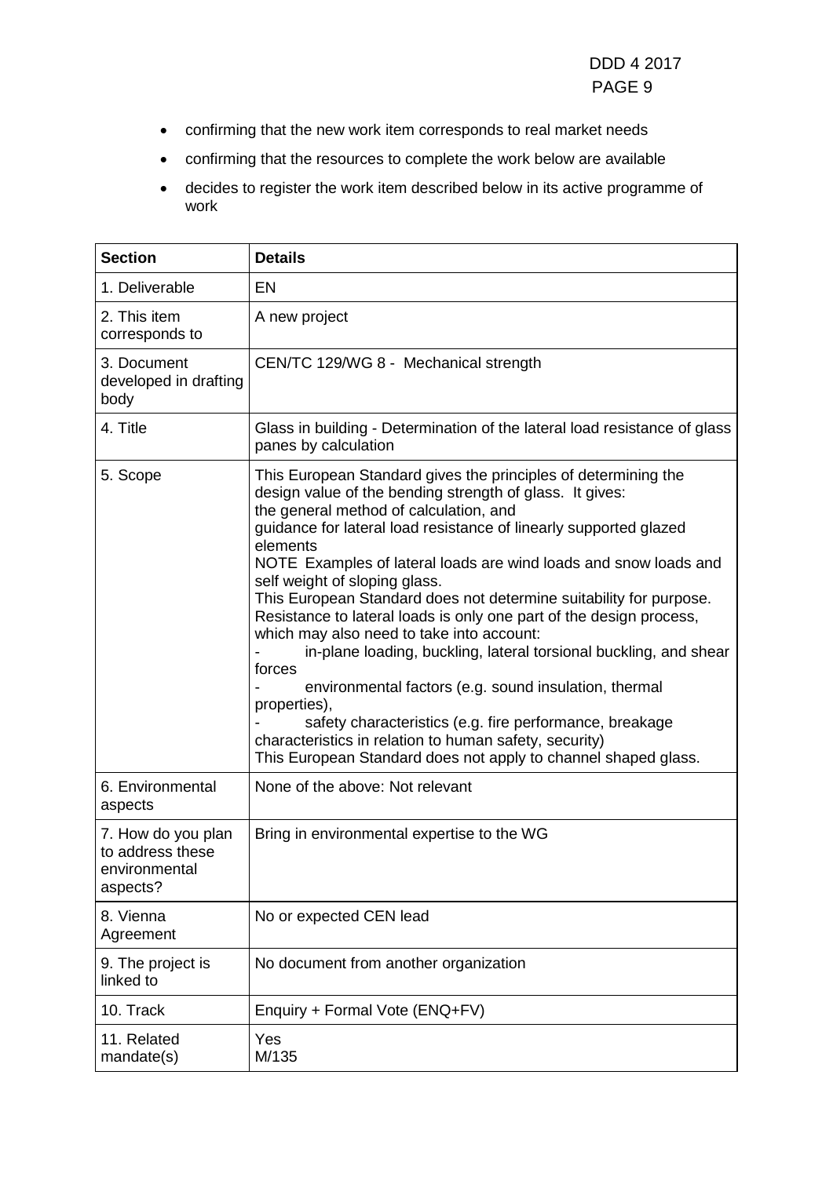- confirming that the new work item corresponds to real market needs
- confirming that the resources to complete the work below are available
- decides to register the work item described below in its active programme of work

| <b>Section</b>                                                      | <b>Details</b>                                                                                                                                                                                                                                                                                                                                                                                                                                                                                                                                                                                                                                                                                                                                                                                                                                                                                      |
|---------------------------------------------------------------------|-----------------------------------------------------------------------------------------------------------------------------------------------------------------------------------------------------------------------------------------------------------------------------------------------------------------------------------------------------------------------------------------------------------------------------------------------------------------------------------------------------------------------------------------------------------------------------------------------------------------------------------------------------------------------------------------------------------------------------------------------------------------------------------------------------------------------------------------------------------------------------------------------------|
| 1. Deliverable                                                      | EN                                                                                                                                                                                                                                                                                                                                                                                                                                                                                                                                                                                                                                                                                                                                                                                                                                                                                                  |
| 2. This item<br>corresponds to                                      | A new project                                                                                                                                                                                                                                                                                                                                                                                                                                                                                                                                                                                                                                                                                                                                                                                                                                                                                       |
| 3. Document<br>developed in drafting<br>body                        | CEN/TC 129/WG 8 - Mechanical strength                                                                                                                                                                                                                                                                                                                                                                                                                                                                                                                                                                                                                                                                                                                                                                                                                                                               |
| 4. Title                                                            | Glass in building - Determination of the lateral load resistance of glass<br>panes by calculation                                                                                                                                                                                                                                                                                                                                                                                                                                                                                                                                                                                                                                                                                                                                                                                                   |
| 5. Scope                                                            | This European Standard gives the principles of determining the<br>design value of the bending strength of glass. It gives:<br>the general method of calculation, and<br>guidance for lateral load resistance of linearly supported glazed<br>elements<br>NOTE Examples of lateral loads are wind loads and snow loads and<br>self weight of sloping glass.<br>This European Standard does not determine suitability for purpose.<br>Resistance to lateral loads is only one part of the design process,<br>which may also need to take into account:<br>in-plane loading, buckling, lateral torsional buckling, and shear<br>forces<br>environmental factors (e.g. sound insulation, thermal<br>properties),<br>safety characteristics (e.g. fire performance, breakage<br>characteristics in relation to human safety, security)<br>This European Standard does not apply to channel shaped glass. |
| 6. Environmental<br>aspects                                         | None of the above: Not relevant                                                                                                                                                                                                                                                                                                                                                                                                                                                                                                                                                                                                                                                                                                                                                                                                                                                                     |
| 7. How do you plan<br>to address these<br>environmental<br>aspects? | Bring in environmental expertise to the WG                                                                                                                                                                                                                                                                                                                                                                                                                                                                                                                                                                                                                                                                                                                                                                                                                                                          |
| 8. Vienna<br>Agreement                                              | No or expected CEN lead                                                                                                                                                                                                                                                                                                                                                                                                                                                                                                                                                                                                                                                                                                                                                                                                                                                                             |
| 9. The project is<br>linked to                                      | No document from another organization                                                                                                                                                                                                                                                                                                                                                                                                                                                                                                                                                                                                                                                                                                                                                                                                                                                               |
| 10. Track                                                           | Enquiry + Formal Vote (ENQ+FV)                                                                                                                                                                                                                                                                                                                                                                                                                                                                                                                                                                                                                                                                                                                                                                                                                                                                      |
| 11. Related<br>mandate(s)                                           | Yes<br>M/135                                                                                                                                                                                                                                                                                                                                                                                                                                                                                                                                                                                                                                                                                                                                                                                                                                                                                        |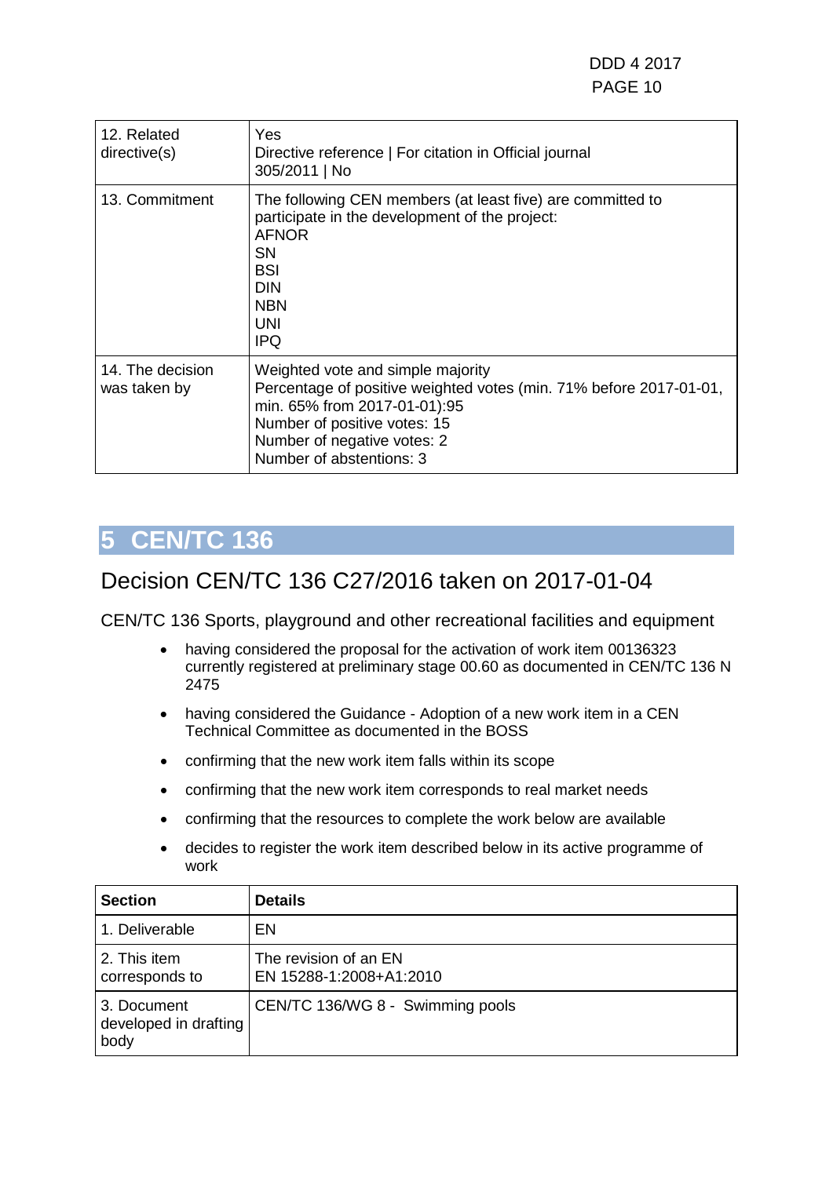| 12. Related<br>directive(s)      | Yes<br>Directive reference   For citation in Official journal<br>305/2011   No                                                                                                                                                     |
|----------------------------------|------------------------------------------------------------------------------------------------------------------------------------------------------------------------------------------------------------------------------------|
| 13. Commitment                   | The following CEN members (at least five) are committed to<br>participate in the development of the project:<br><b>AFNOR</b><br>SN.<br><b>BSI</b><br><b>DIN</b><br><b>NBN</b><br>UNI<br><b>IPQ</b>                                 |
| 14. The decision<br>was taken by | Weighted vote and simple majority<br>Percentage of positive weighted votes (min. 71% before 2017-01-01,<br>min. 65% from 2017-01-01):95<br>Number of positive votes: 15<br>Number of negative votes: 2<br>Number of abstentions: 3 |

### <span id="page-9-0"></span>Decision CEN/TC 136 C27/2016 taken on 2017-01-04

- having considered the proposal for the activation of work item 00136323 currently registered at preliminary stage 00.60 as documented in CEN/TC 136 N 2475
- having considered the Guidance Adoption of a new work item in a CEN Technical Committee as documented in the BOSS
- confirming that the new work item falls within its scope
- confirming that the new work item corresponds to real market needs
- confirming that the resources to complete the work below are available
- decides to register the work item described below in its active programme of work

| <b>Section</b>                               | <b>Details</b>                                   |
|----------------------------------------------|--------------------------------------------------|
| 1. Deliverable                               | EN                                               |
| 2. This item<br>corresponds to               | The revision of an EN<br>EN 15288-1:2008+A1:2010 |
| 3. Document<br>developed in drafting<br>body | CEN/TC 136/WG 8 - Swimming pools                 |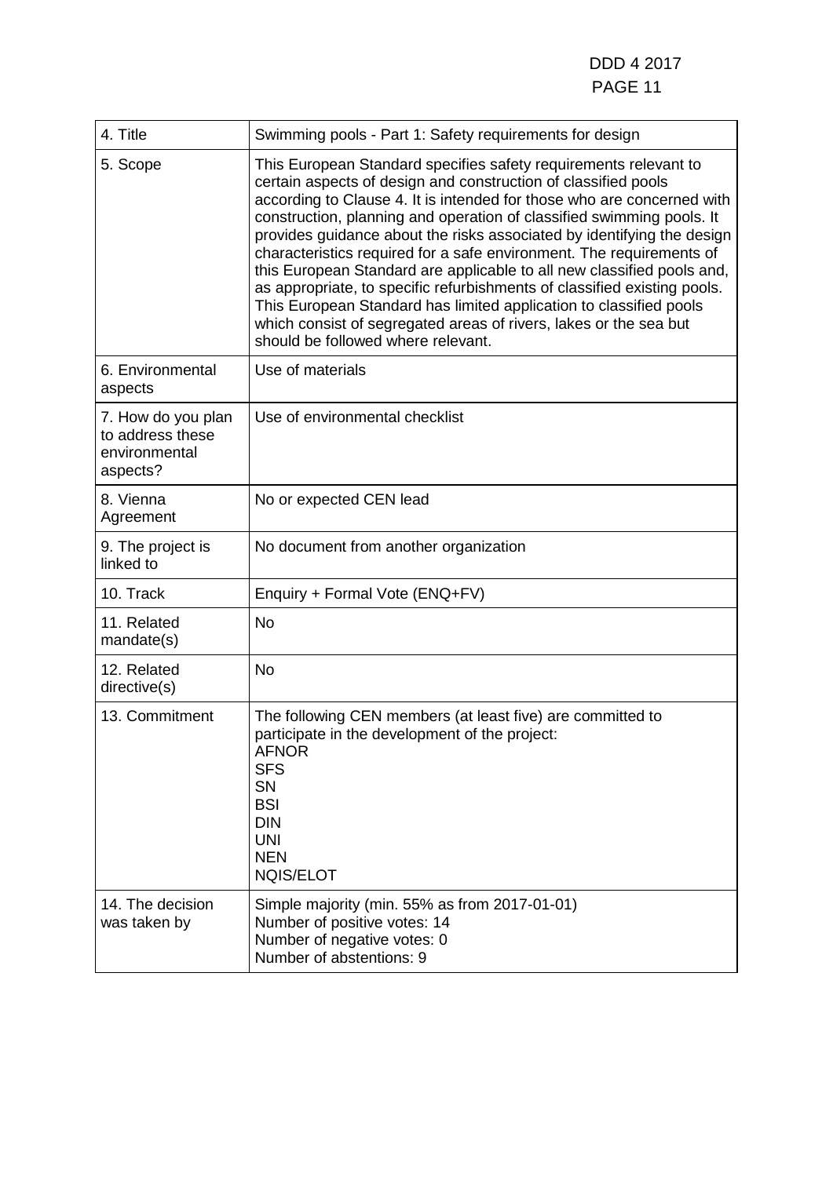| 4. Title                                                            | Swimming pools - Part 1: Safety requirements for design                                                                                                                                                                                                                                                                                                                                                                                                                                                                                                                                                                                                                                                                                                                        |
|---------------------------------------------------------------------|--------------------------------------------------------------------------------------------------------------------------------------------------------------------------------------------------------------------------------------------------------------------------------------------------------------------------------------------------------------------------------------------------------------------------------------------------------------------------------------------------------------------------------------------------------------------------------------------------------------------------------------------------------------------------------------------------------------------------------------------------------------------------------|
| 5. Scope                                                            | This European Standard specifies safety requirements relevant to<br>certain aspects of design and construction of classified pools<br>according to Clause 4. It is intended for those who are concerned with<br>construction, planning and operation of classified swimming pools. It<br>provides guidance about the risks associated by identifying the design<br>characteristics required for a safe environment. The requirements of<br>this European Standard are applicable to all new classified pools and,<br>as appropriate, to specific refurbishments of classified existing pools.<br>This European Standard has limited application to classified pools<br>which consist of segregated areas of rivers, lakes or the sea but<br>should be followed where relevant. |
| 6. Environmental<br>aspects                                         | Use of materials                                                                                                                                                                                                                                                                                                                                                                                                                                                                                                                                                                                                                                                                                                                                                               |
| 7. How do you plan<br>to address these<br>environmental<br>aspects? | Use of environmental checklist                                                                                                                                                                                                                                                                                                                                                                                                                                                                                                                                                                                                                                                                                                                                                 |
| 8. Vienna<br>Agreement                                              | No or expected CEN lead                                                                                                                                                                                                                                                                                                                                                                                                                                                                                                                                                                                                                                                                                                                                                        |
| 9. The project is<br>linked to                                      | No document from another organization                                                                                                                                                                                                                                                                                                                                                                                                                                                                                                                                                                                                                                                                                                                                          |
| 10. Track                                                           | Enquiry + Formal Vote (ENQ+FV)                                                                                                                                                                                                                                                                                                                                                                                                                                                                                                                                                                                                                                                                                                                                                 |
| 11. Related<br>mandate(s)                                           | <b>No</b>                                                                                                                                                                                                                                                                                                                                                                                                                                                                                                                                                                                                                                                                                                                                                                      |
| 12. Related<br>directive(s)                                         | <b>No</b>                                                                                                                                                                                                                                                                                                                                                                                                                                                                                                                                                                                                                                                                                                                                                                      |
| 13. Commitment                                                      | The following CEN members (at least five) are committed to<br>participate in the development of the project:<br>AFNOR<br><b>SFS</b><br><b>SN</b><br><b>BSI</b><br><b>DIN</b><br><b>UNI</b><br><b>NEN</b><br><b>NQIS/ELOT</b>                                                                                                                                                                                                                                                                                                                                                                                                                                                                                                                                                   |
| 14. The decision<br>was taken by                                    | Simple majority (min. 55% as from 2017-01-01)<br>Number of positive votes: 14<br>Number of negative votes: 0<br>Number of abstentions: 9                                                                                                                                                                                                                                                                                                                                                                                                                                                                                                                                                                                                                                       |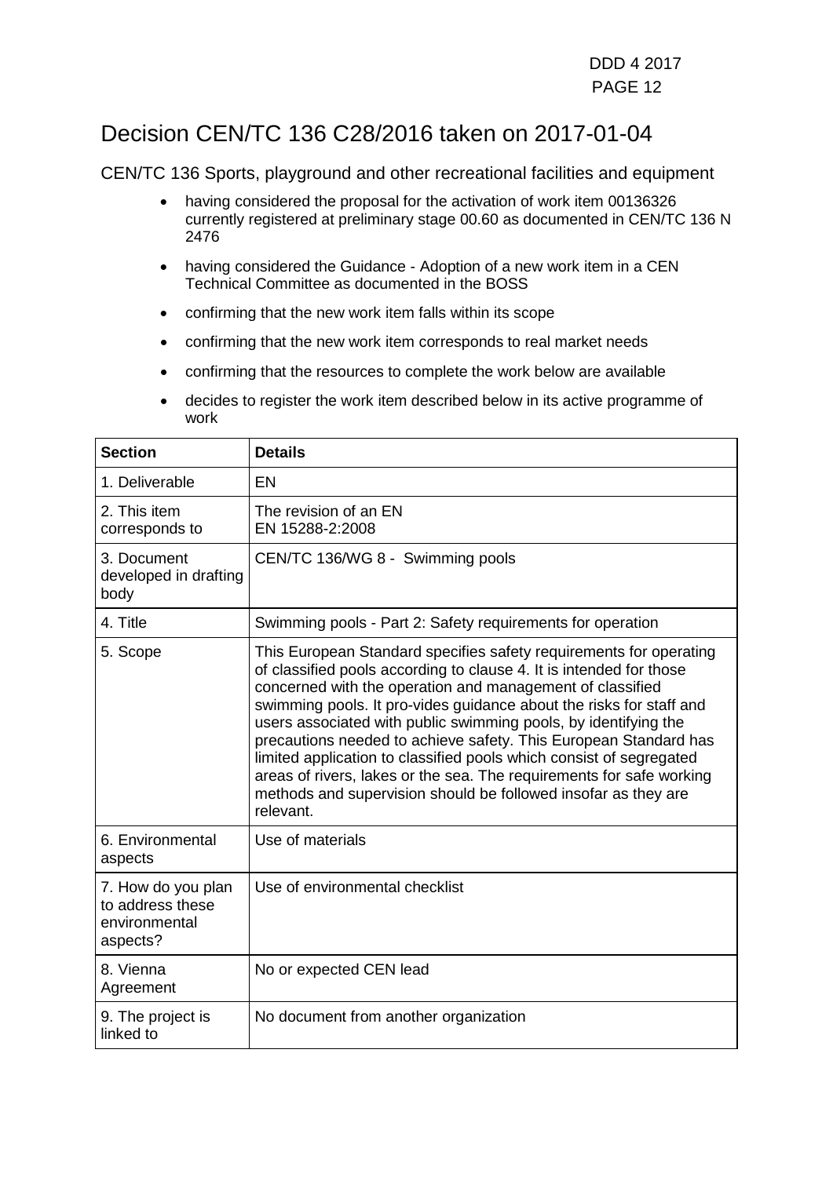## Decision CEN/TC 136 C28/2016 taken on 2017-01-04

- having considered the proposal for the activation of work item 00136326 currently registered at preliminary stage 00.60 as documented in CEN/TC 136 N 2476
- having considered the Guidance Adoption of a new work item in a CEN Technical Committee as documented in the BOSS
- confirming that the new work item falls within its scope
- confirming that the new work item corresponds to real market needs
- confirming that the resources to complete the work below are available
- decides to register the work item described below in its active programme of work

| <b>Section</b>                                                      | <b>Details</b>                                                                                                                                                                                                                                                                                                                                                                                                                                                                                                                                                                                                                                     |
|---------------------------------------------------------------------|----------------------------------------------------------------------------------------------------------------------------------------------------------------------------------------------------------------------------------------------------------------------------------------------------------------------------------------------------------------------------------------------------------------------------------------------------------------------------------------------------------------------------------------------------------------------------------------------------------------------------------------------------|
| 1. Deliverable                                                      | EN                                                                                                                                                                                                                                                                                                                                                                                                                                                                                                                                                                                                                                                 |
| 2. This item<br>corresponds to                                      | The revision of an EN<br>EN 15288-2:2008                                                                                                                                                                                                                                                                                                                                                                                                                                                                                                                                                                                                           |
| 3. Document<br>developed in drafting<br>body                        | CEN/TC 136/WG 8 - Swimming pools                                                                                                                                                                                                                                                                                                                                                                                                                                                                                                                                                                                                                   |
| 4. Title                                                            | Swimming pools - Part 2: Safety requirements for operation                                                                                                                                                                                                                                                                                                                                                                                                                                                                                                                                                                                         |
| 5. Scope                                                            | This European Standard specifies safety requirements for operating<br>of classified pools according to clause 4. It is intended for those<br>concerned with the operation and management of classified<br>swimming pools. It pro-vides guidance about the risks for staff and<br>users associated with public swimming pools, by identifying the<br>precautions needed to achieve safety. This European Standard has<br>limited application to classified pools which consist of segregated<br>areas of rivers, lakes or the sea. The requirements for safe working<br>methods and supervision should be followed insofar as they are<br>relevant. |
| 6. Environmental<br>aspects                                         | Use of materials                                                                                                                                                                                                                                                                                                                                                                                                                                                                                                                                                                                                                                   |
| 7. How do you plan<br>to address these<br>environmental<br>aspects? | Use of environmental checklist                                                                                                                                                                                                                                                                                                                                                                                                                                                                                                                                                                                                                     |
| 8. Vienna<br>Agreement                                              | No or expected CEN lead                                                                                                                                                                                                                                                                                                                                                                                                                                                                                                                                                                                                                            |
| 9. The project is<br>linked to                                      | No document from another organization                                                                                                                                                                                                                                                                                                                                                                                                                                                                                                                                                                                                              |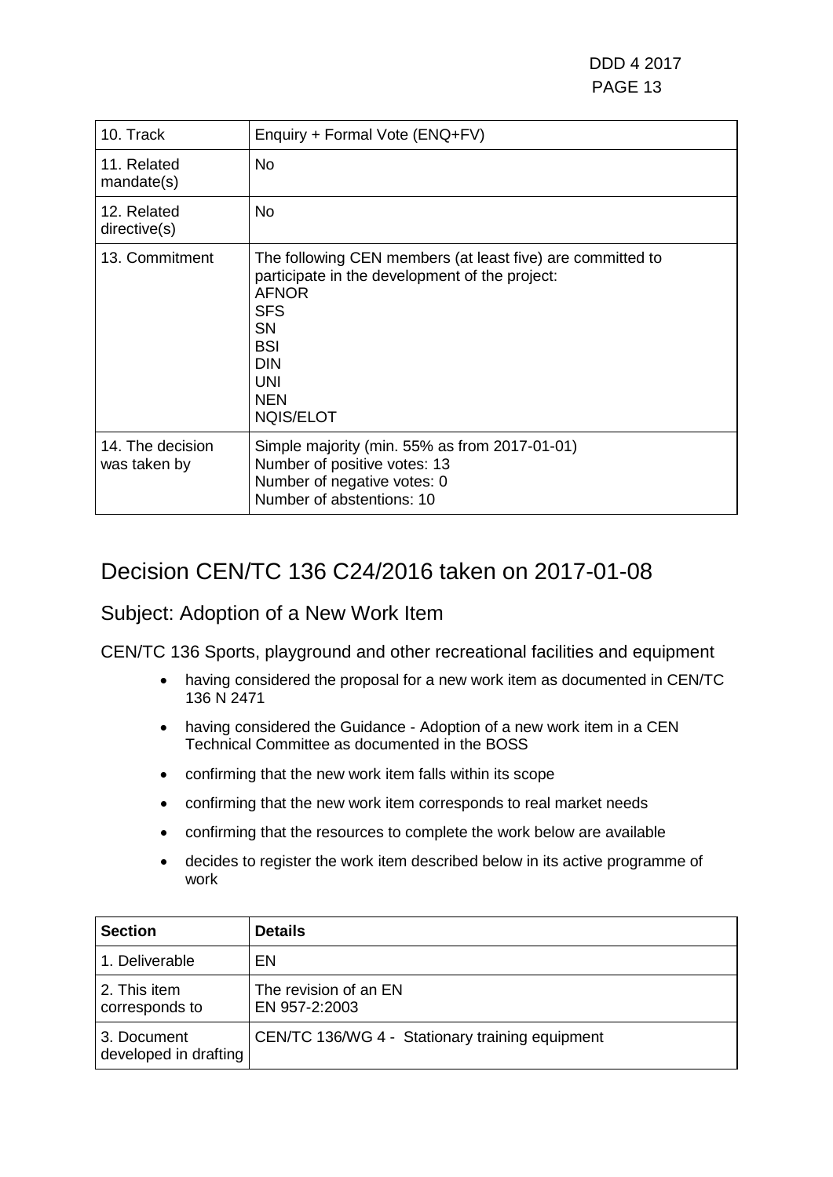DDD 4 2017 PAGE 13

| 10. Track                        | Enquiry + Formal Vote (ENQ+FV)                                                                                                                                                                                        |
|----------------------------------|-----------------------------------------------------------------------------------------------------------------------------------------------------------------------------------------------------------------------|
| 11. Related<br>mandate(s)        | No                                                                                                                                                                                                                    |
| 12. Related<br>directive(s)      | No                                                                                                                                                                                                                    |
| 13. Commitment                   | The following CEN members (at least five) are committed to<br>participate in the development of the project:<br><b>AFNOR</b><br><b>SFS</b><br>SN<br><b>BSI</b><br><b>DIN</b><br><b>UNI</b><br><b>NEN</b><br>NQIS/ELOT |
| 14. The decision<br>was taken by | Simple majority (min. 55% as from 2017-01-01)<br>Number of positive votes: 13<br>Number of negative votes: 0<br>Number of abstentions: 10                                                                             |

### Decision CEN/TC 136 C24/2016 taken on 2017-01-08

### Subject: Adoption of a New Work Item

- having considered the proposal for a new work item as documented in CEN/TC 136 N 2471
- having considered the Guidance Adoption of a new work item in a CEN Technical Committee as documented in the BOSS
- confirming that the new work item falls within its scope
- confirming that the new work item corresponds to real market needs
- confirming that the resources to complete the work below are available
- decides to register the work item described below in its active programme of work

| <b>Section</b>                       | <b>Details</b>                                  |
|--------------------------------------|-------------------------------------------------|
| 1. Deliverable                       | EN                                              |
| 2. This item<br>corresponds to       | The revision of an EN<br>EN 957-2:2003          |
| 3. Document<br>developed in drafting | CEN/TC 136/WG 4 - Stationary training equipment |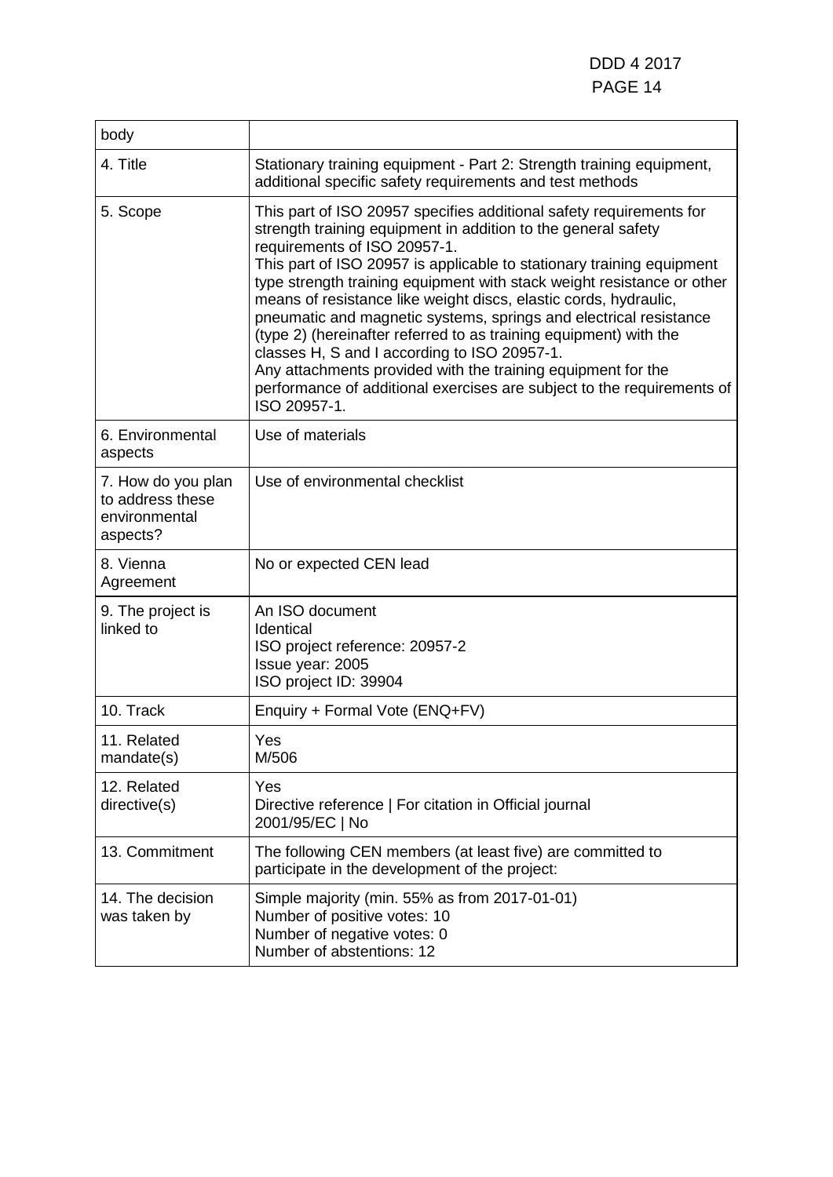| body                                                                |                                                                                                                                                                                                                                                                                                                                                                                                                                                                                                                                                                                                                                                                                                                                                 |
|---------------------------------------------------------------------|-------------------------------------------------------------------------------------------------------------------------------------------------------------------------------------------------------------------------------------------------------------------------------------------------------------------------------------------------------------------------------------------------------------------------------------------------------------------------------------------------------------------------------------------------------------------------------------------------------------------------------------------------------------------------------------------------------------------------------------------------|
| 4. Title                                                            | Stationary training equipment - Part 2: Strength training equipment,<br>additional specific safety requirements and test methods                                                                                                                                                                                                                                                                                                                                                                                                                                                                                                                                                                                                                |
| 5. Scope                                                            | This part of ISO 20957 specifies additional safety requirements for<br>strength training equipment in addition to the general safety<br>requirements of ISO 20957-1.<br>This part of ISO 20957 is applicable to stationary training equipment<br>type strength training equipment with stack weight resistance or other<br>means of resistance like weight discs, elastic cords, hydraulic,<br>pneumatic and magnetic systems, springs and electrical resistance<br>(type 2) (hereinafter referred to as training equipment) with the<br>classes H, S and I according to ISO 20957-1.<br>Any attachments provided with the training equipment for the<br>performance of additional exercises are subject to the requirements of<br>ISO 20957-1. |
| 6. Environmental<br>aspects                                         | Use of materials                                                                                                                                                                                                                                                                                                                                                                                                                                                                                                                                                                                                                                                                                                                                |
| 7. How do you plan<br>to address these<br>environmental<br>aspects? | Use of environmental checklist                                                                                                                                                                                                                                                                                                                                                                                                                                                                                                                                                                                                                                                                                                                  |
| 8. Vienna<br>Agreement                                              | No or expected CEN lead                                                                                                                                                                                                                                                                                                                                                                                                                                                                                                                                                                                                                                                                                                                         |
| 9. The project is<br>linked to                                      | An ISO document<br>Identical<br>ISO project reference: 20957-2<br>Issue year: 2005<br>ISO project ID: 39904                                                                                                                                                                                                                                                                                                                                                                                                                                                                                                                                                                                                                                     |
| 10. Track                                                           | Enquiry + Formal Vote (ENQ+FV)                                                                                                                                                                                                                                                                                                                                                                                                                                                                                                                                                                                                                                                                                                                  |
| 11. Related<br>mandate(s)                                           | Yes<br>M/506                                                                                                                                                                                                                                                                                                                                                                                                                                                                                                                                                                                                                                                                                                                                    |
| 12. Related<br>directive(s)                                         | Yes<br>Directive reference   For citation in Official journal<br>2001/95/EC   No                                                                                                                                                                                                                                                                                                                                                                                                                                                                                                                                                                                                                                                                |
| 13. Commitment                                                      | The following CEN members (at least five) are committed to<br>participate in the development of the project:                                                                                                                                                                                                                                                                                                                                                                                                                                                                                                                                                                                                                                    |
| 14. The decision<br>was taken by                                    | Simple majority (min. 55% as from 2017-01-01)<br>Number of positive votes: 10<br>Number of negative votes: 0<br>Number of abstentions: 12                                                                                                                                                                                                                                                                                                                                                                                                                                                                                                                                                                                                       |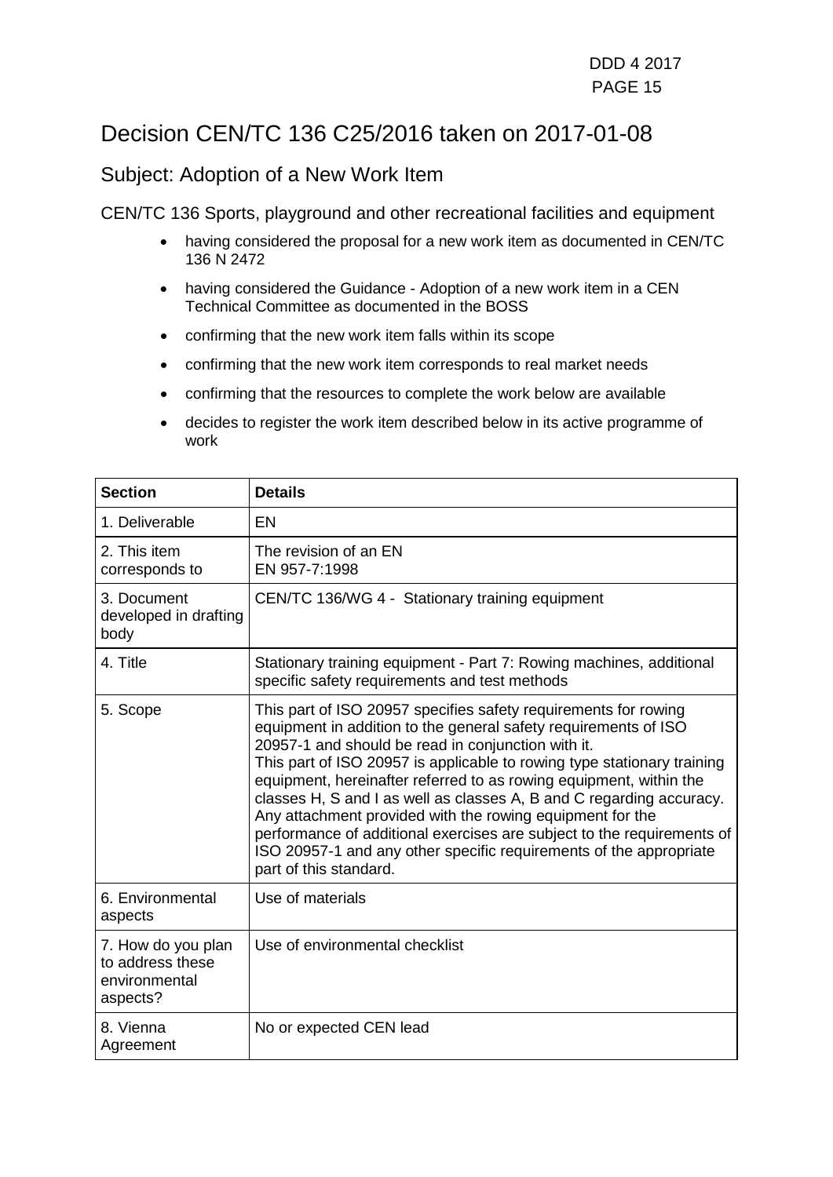### Decision CEN/TC 136 C25/2016 taken on 2017-01-08

### Subject: Adoption of a New Work Item

- having considered the proposal for a new work item as documented in CEN/TC 136 N 2472
- having considered the Guidance Adoption of a new work item in a CEN Technical Committee as documented in the BOSS
- confirming that the new work item falls within its scope
- confirming that the new work item corresponds to real market needs
- confirming that the resources to complete the work below are available
- decides to register the work item described below in its active programme of work

| <b>Section</b>                                                      | <b>Details</b>                                                                                                                                                                                                                                                                                                                                                                                                                                                                                                                                                                                                                                           |
|---------------------------------------------------------------------|----------------------------------------------------------------------------------------------------------------------------------------------------------------------------------------------------------------------------------------------------------------------------------------------------------------------------------------------------------------------------------------------------------------------------------------------------------------------------------------------------------------------------------------------------------------------------------------------------------------------------------------------------------|
| 1. Deliverable                                                      | EN                                                                                                                                                                                                                                                                                                                                                                                                                                                                                                                                                                                                                                                       |
| 2. This item<br>corresponds to                                      | The revision of an EN<br>EN 957-7:1998                                                                                                                                                                                                                                                                                                                                                                                                                                                                                                                                                                                                                   |
| 3. Document<br>developed in drafting<br>body                        | CEN/TC 136/WG 4 - Stationary training equipment                                                                                                                                                                                                                                                                                                                                                                                                                                                                                                                                                                                                          |
| 4. Title                                                            | Stationary training equipment - Part 7: Rowing machines, additional<br>specific safety requirements and test methods                                                                                                                                                                                                                                                                                                                                                                                                                                                                                                                                     |
| 5. Scope                                                            | This part of ISO 20957 specifies safety requirements for rowing<br>equipment in addition to the general safety requirements of ISO<br>20957-1 and should be read in conjunction with it.<br>This part of ISO 20957 is applicable to rowing type stationary training<br>equipment, hereinafter referred to as rowing equipment, within the<br>classes H, S and I as well as classes A, B and C regarding accuracy.<br>Any attachment provided with the rowing equipment for the<br>performance of additional exercises are subject to the requirements of<br>ISO 20957-1 and any other specific requirements of the appropriate<br>part of this standard. |
| 6. Environmental<br>aspects                                         | Use of materials                                                                                                                                                                                                                                                                                                                                                                                                                                                                                                                                                                                                                                         |
| 7. How do you plan<br>to address these<br>environmental<br>aspects? | Use of environmental checklist                                                                                                                                                                                                                                                                                                                                                                                                                                                                                                                                                                                                                           |
| 8. Vienna<br>Agreement                                              | No or expected CEN lead                                                                                                                                                                                                                                                                                                                                                                                                                                                                                                                                                                                                                                  |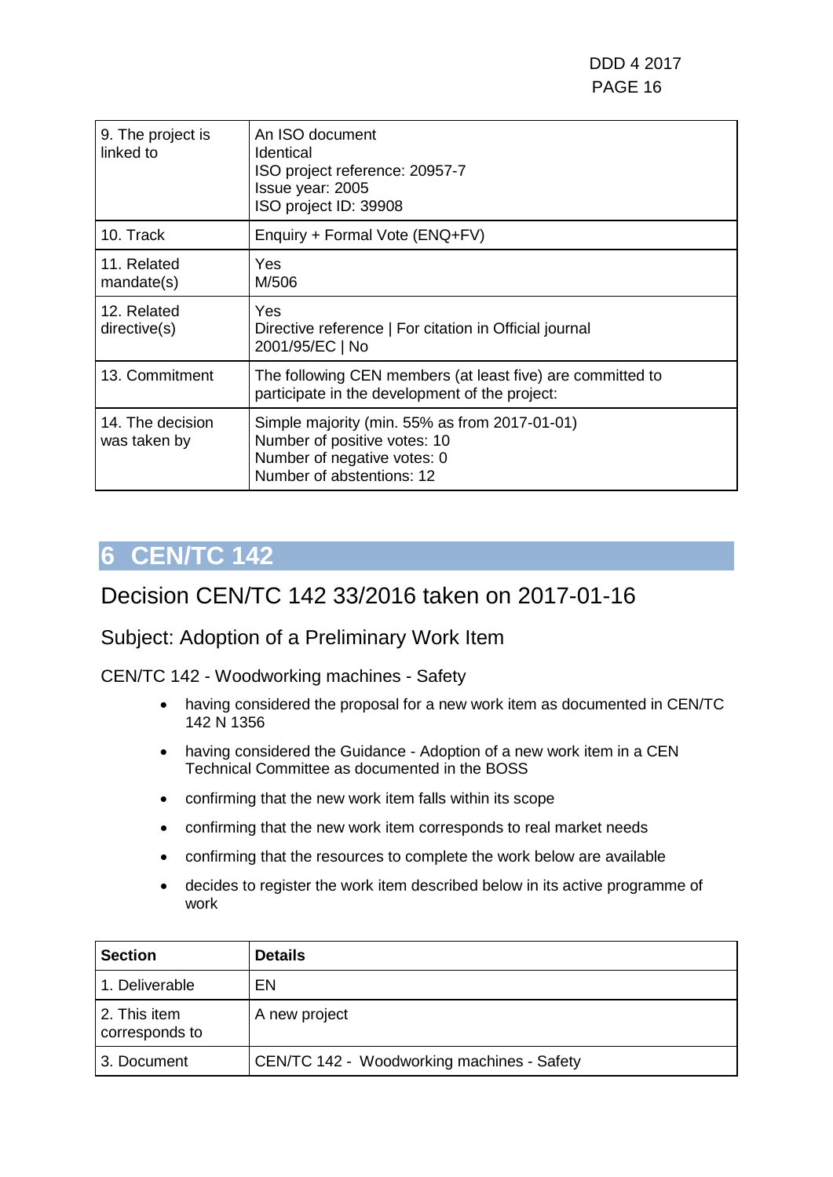| 9. The project is<br>linked to   | An ISO document<br>Identical<br>ISO project reference: 20957-7<br>Issue year: 2005<br>ISO project ID: 39908                               |
|----------------------------------|-------------------------------------------------------------------------------------------------------------------------------------------|
| 10. Track                        | Enquiry + Formal Vote (ENQ+FV)                                                                                                            |
| 11. Related<br>mandate(s)        | <b>Yes</b><br>M/506                                                                                                                       |
| 12. Related<br>directive(s)      | Yes<br>Directive reference   For citation in Official journal<br>2001/95/EC   No                                                          |
| 13. Commitment                   | The following CEN members (at least five) are committed to<br>participate in the development of the project:                              |
| 14. The decision<br>was taken by | Simple majority (min. 55% as from 2017-01-01)<br>Number of positive votes: 10<br>Number of negative votes: 0<br>Number of abstentions: 12 |

### <span id="page-15-0"></span>Decision CEN/TC 142 33/2016 taken on 2017-01-16

### Subject: Adoption of a Preliminary Work Item

CEN/TC 142 - Woodworking machines - Safety

- having considered the proposal for a new work item as documented in CEN/TC 142 N 1356
- having considered the Guidance Adoption of a new work item in a CEN Technical Committee as documented in the BOSS
- confirming that the new work item falls within its scope
- confirming that the new work item corresponds to real market needs
- confirming that the resources to complete the work below are available
- decides to register the work item described below in its active programme of work

| <b>Section</b>                 | <b>Details</b>                             |
|--------------------------------|--------------------------------------------|
| 1. Deliverable                 | EN                                         |
| 2. This item<br>corresponds to | A new project                              |
| 3. Document                    | CEN/TC 142 - Woodworking machines - Safety |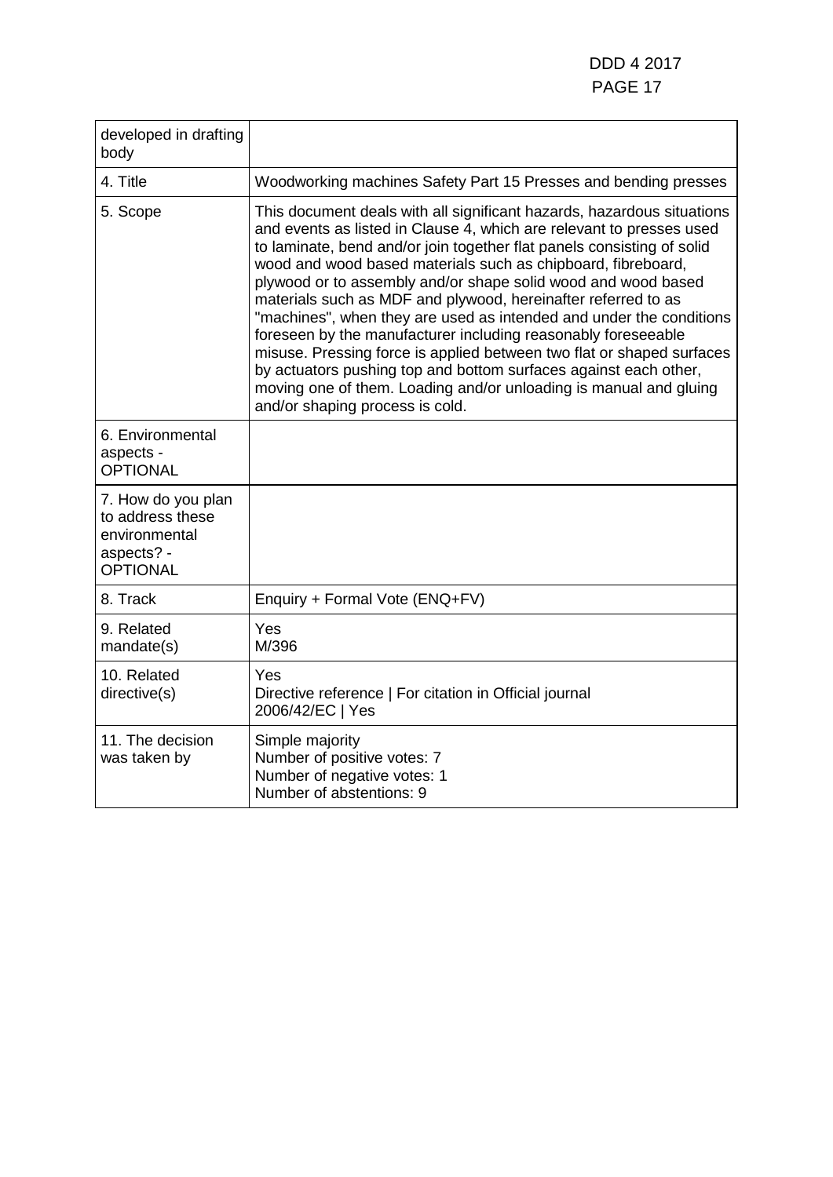| developed in drafting<br>body                                                            |                                                                                                                                                                                                                                                                                                                                                                                                                                                                                                                                                                                                                                                                                                                                                                                                                         |
|------------------------------------------------------------------------------------------|-------------------------------------------------------------------------------------------------------------------------------------------------------------------------------------------------------------------------------------------------------------------------------------------------------------------------------------------------------------------------------------------------------------------------------------------------------------------------------------------------------------------------------------------------------------------------------------------------------------------------------------------------------------------------------------------------------------------------------------------------------------------------------------------------------------------------|
| 4. Title                                                                                 | Woodworking machines Safety Part 15 Presses and bending presses                                                                                                                                                                                                                                                                                                                                                                                                                                                                                                                                                                                                                                                                                                                                                         |
| 5. Scope                                                                                 | This document deals with all significant hazards, hazardous situations<br>and events as listed in Clause 4, which are relevant to presses used<br>to laminate, bend and/or join together flat panels consisting of solid<br>wood and wood based materials such as chipboard, fibreboard,<br>plywood or to assembly and/or shape solid wood and wood based<br>materials such as MDF and plywood, hereinafter referred to as<br>"machines", when they are used as intended and under the conditions<br>foreseen by the manufacturer including reasonably foreseeable<br>misuse. Pressing force is applied between two flat or shaped surfaces<br>by actuators pushing top and bottom surfaces against each other,<br>moving one of them. Loading and/or unloading is manual and gluing<br>and/or shaping process is cold. |
| 6. Environmental<br>aspects -<br><b>OPTIONAL</b>                                         |                                                                                                                                                                                                                                                                                                                                                                                                                                                                                                                                                                                                                                                                                                                                                                                                                         |
| 7. How do you plan<br>to address these<br>environmental<br>aspects? -<br><b>OPTIONAL</b> |                                                                                                                                                                                                                                                                                                                                                                                                                                                                                                                                                                                                                                                                                                                                                                                                                         |
| 8. Track                                                                                 | Enquiry + Formal Vote (ENQ+FV)                                                                                                                                                                                                                                                                                                                                                                                                                                                                                                                                                                                                                                                                                                                                                                                          |
| 9. Related<br>mandate(s)                                                                 | Yes<br>M/396                                                                                                                                                                                                                                                                                                                                                                                                                                                                                                                                                                                                                                                                                                                                                                                                            |
| 10. Related<br>directive(s)                                                              | Yes<br>Directive reference   For citation in Official journal<br>2006/42/EC   Yes                                                                                                                                                                                                                                                                                                                                                                                                                                                                                                                                                                                                                                                                                                                                       |
| 11. The decision<br>was taken by                                                         | Simple majority<br>Number of positive votes: 7<br>Number of negative votes: 1<br>Number of abstentions: 9                                                                                                                                                                                                                                                                                                                                                                                                                                                                                                                                                                                                                                                                                                               |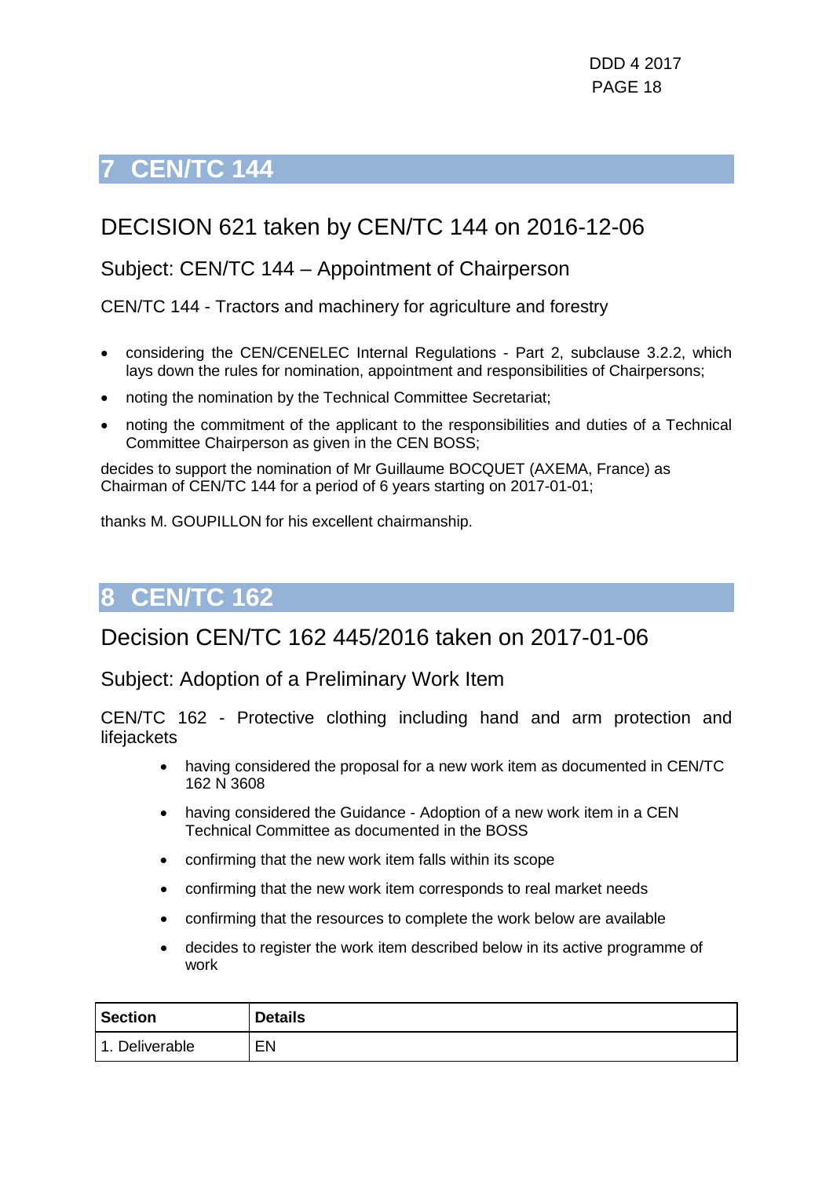## <span id="page-17-0"></span>DECISION 621 taken by CEN/TC 144 on 2016-12-06

### Subject: CEN/TC 144 – Appointment of Chairperson

CEN/TC 144 - Tractors and machinery for agriculture and forestry

- considering the CEN/CENELEC Internal Regulations Part 2, subclause 3.2.2, which lays down the rules for nomination, appointment and responsibilities of Chairpersons;
- noting the nomination by the Technical Committee Secretariat;
- noting the commitment of the applicant to the responsibilities and duties of a Technical Committee Chairperson as given in the CEN BOSS;

decides to support the nomination of Mr Guillaume BOCQUET (AXEMA, France) as Chairman of CEN/TC 144 for a period of 6 years starting on 2017-01-01;

thanks M. GOUPILLON for his excellent chairmanship.

## <span id="page-17-1"></span>**8 CEN/TC 162**

### Decision CEN/TC 162 445/2016 taken on 2017-01-06

Subject: Adoption of a Preliminary Work Item

CEN/TC 162 - Protective clothing including hand and arm protection and lifejackets

- having considered the proposal for a new work item as documented in CEN/TC 162 N 3608
- having considered the Guidance Adoption of a new work item in a CEN Technical Committee as documented in the BOSS
- confirming that the new work item falls within its scope
- confirming that the new work item corresponds to real market needs
- confirming that the resources to complete the work below are available
- decides to register the work item described below in its active programme of work

| <b>Section</b>                | <b>Details</b> |
|-------------------------------|----------------|
| Deliverable<br>$\overline{A}$ | EN             |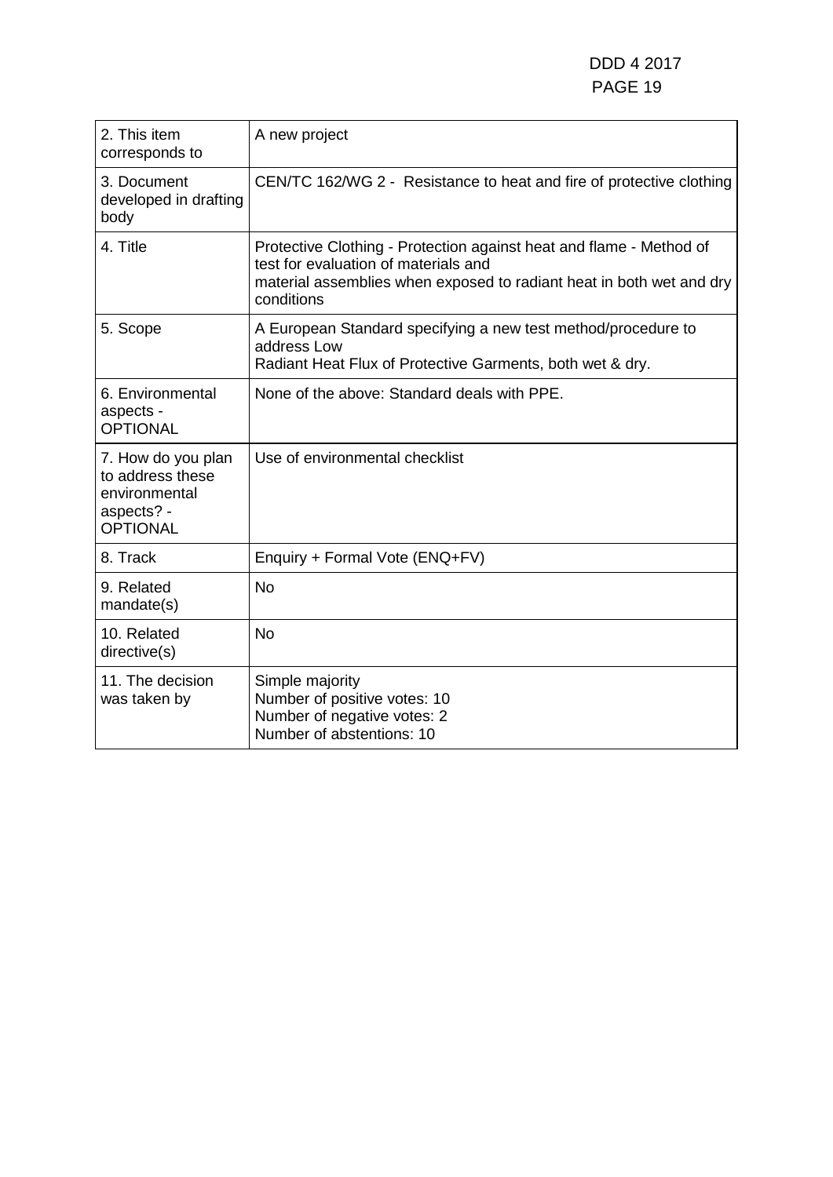| 2. This item<br>corresponds to                                                           | A new project                                                                                                                                                                                     |
|------------------------------------------------------------------------------------------|---------------------------------------------------------------------------------------------------------------------------------------------------------------------------------------------------|
| 3. Document<br>developed in drafting<br>body                                             | CEN/TC 162/WG 2 - Resistance to heat and fire of protective clothing                                                                                                                              |
| 4. Title                                                                                 | Protective Clothing - Protection against heat and flame - Method of<br>test for evaluation of materials and<br>material assemblies when exposed to radiant heat in both wet and dry<br>conditions |
| 5. Scope                                                                                 | A European Standard specifying a new test method/procedure to<br>address Low<br>Radiant Heat Flux of Protective Garments, both wet & dry.                                                         |
| 6. Environmental<br>aspects -<br><b>OPTIONAL</b>                                         | None of the above: Standard deals with PPE.                                                                                                                                                       |
| 7. How do you plan<br>to address these<br>environmental<br>aspects? -<br><b>OPTIONAL</b> | Use of environmental checklist                                                                                                                                                                    |
| 8. Track                                                                                 | Enquiry + Formal Vote (ENQ+FV)                                                                                                                                                                    |
| 9. Related<br>mandate(s)                                                                 | <b>No</b>                                                                                                                                                                                         |
| 10. Related<br>directive(s)                                                              | <b>No</b>                                                                                                                                                                                         |
| 11. The decision<br>was taken by                                                         | Simple majority<br>Number of positive votes: 10<br>Number of negative votes: 2<br>Number of abstentions: 10                                                                                       |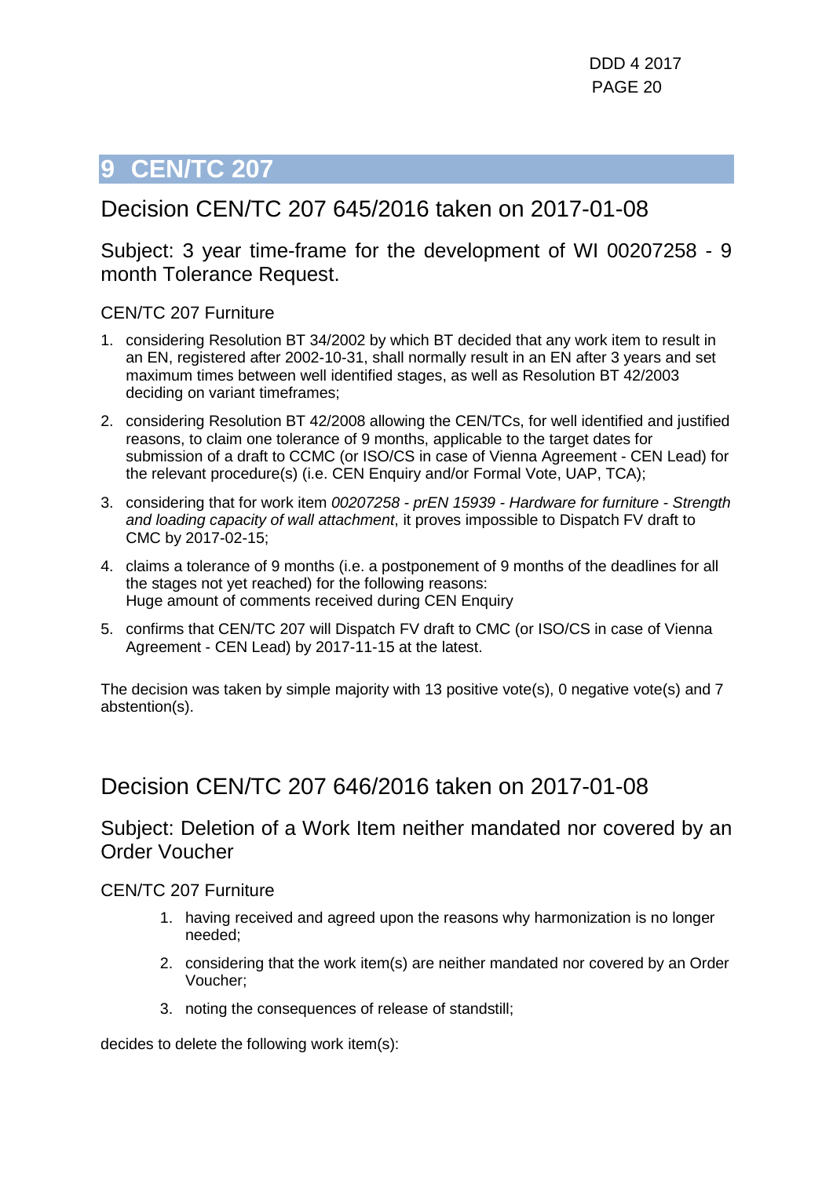### <span id="page-19-0"></span>Decision CEN/TC 207 645/2016 taken on 2017-01-08

### Subject: 3 year time-frame for the development of WI 00207258 - 9 month Tolerance Request.

#### CEN/TC 207 Furniture

- 1. considering Resolution BT 34/2002 by which BT decided that any work item to result in an EN, registered after 2002-10-31, shall normally result in an EN after 3 years and set maximum times between well identified stages, as well as Resolution BT 42/2003 deciding on variant timeframes;
- 2. considering Resolution BT 42/2008 allowing the CEN/TCs, for well identified and justified reasons, to claim one tolerance of 9 months, applicable to the target dates for submission of a draft to CCMC (or ISO/CS in case of Vienna Agreement - CEN Lead) for the relevant procedure(s) (i.e. CEN Enquiry and/or Formal Vote, UAP, TCA);
- 3. considering that for work item *00207258 - prEN 15939 - Hardware for furniture - Strength and loading capacity of wall attachment*, it proves impossible to Dispatch FV draft to CMC by 2017-02-15;
- 4. claims a tolerance of 9 months (i.e. a postponement of 9 months of the deadlines for all the stages not yet reached) for the following reasons: Huge amount of comments received during CEN Enquiry
- 5. confirms that CEN/TC 207 will Dispatch FV draft to CMC (or ISO/CS in case of Vienna Agreement - CEN Lead) by 2017-11-15 at the latest.

The decision was taken by simple majority with 13 positive vote(s), 0 negative vote(s) and 7 abstention(s).

### Decision CEN/TC 207 646/2016 taken on 2017-01-08

### Subject: Deletion of a Work Item neither mandated nor covered by an Order Voucher

#### CEN/TC 207 Furniture

- 1. having received and agreed upon the reasons why harmonization is no longer needed;
- 2. considering that the work item(s) are neither mandated nor covered by an Order Voucher;
- 3. noting the consequences of release of standstill;

decides to delete the following work item(s):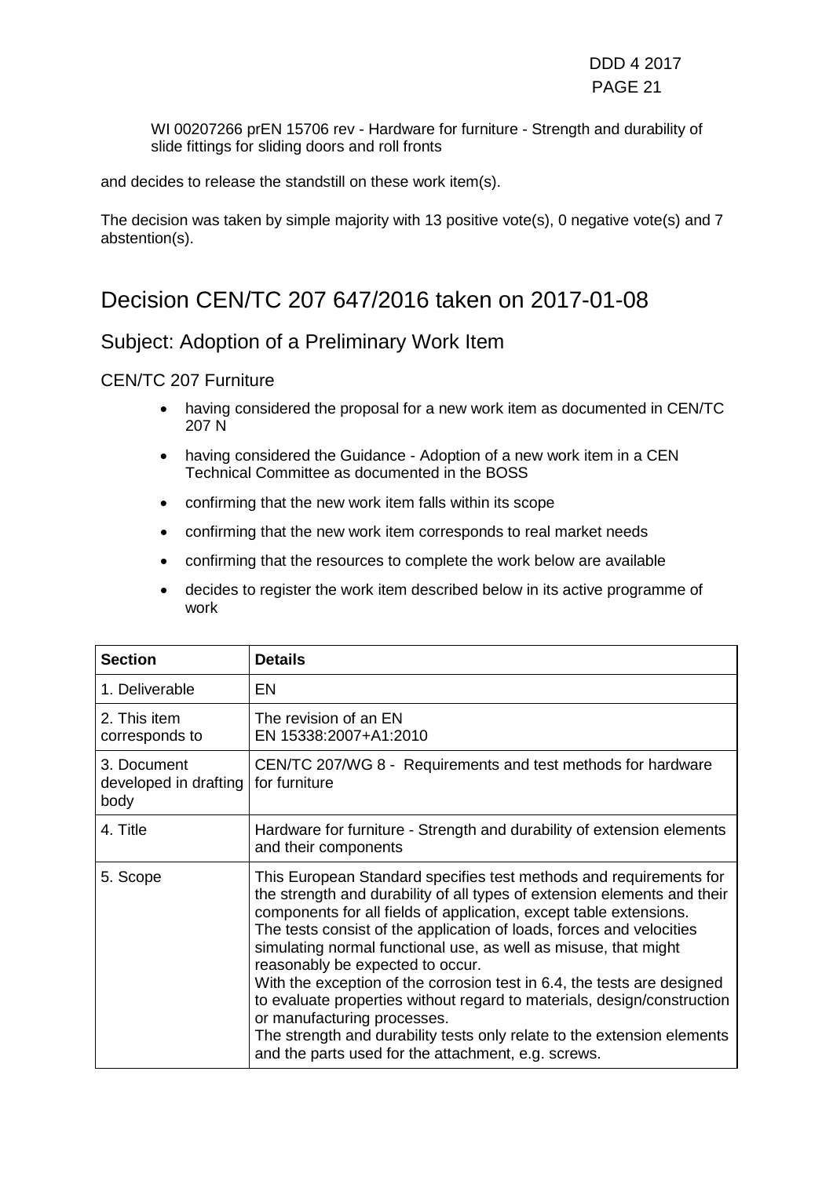WI 00207266 prEN 15706 rev - Hardware for furniture - Strength and durability of slide fittings for sliding doors and roll fronts

and decides to release the standstill on these work item(s).

The decision was taken by simple majority with 13 positive vote(s), 0 negative vote(s) and 7 abstention(s).

### Decision CEN/TC 207 647/2016 taken on 2017-01-08

### Subject: Adoption of a Preliminary Work Item

#### CEN/TC 207 Furniture

- having considered the proposal for a new work item as documented in CEN/TC 207 N
- having considered the Guidance Adoption of a new work item in a CEN Technical Committee as documented in the BOSS
- confirming that the new work item falls within its scope
- confirming that the new work item corresponds to real market needs
- confirming that the resources to complete the work below are available
- decides to register the work item described below in its active programme of work

| <b>Section</b>                               | <b>Details</b>                                                                                                                                                                                                                                                                                                                                                                                                                                                                                                                                                                                                                                                                                                             |
|----------------------------------------------|----------------------------------------------------------------------------------------------------------------------------------------------------------------------------------------------------------------------------------------------------------------------------------------------------------------------------------------------------------------------------------------------------------------------------------------------------------------------------------------------------------------------------------------------------------------------------------------------------------------------------------------------------------------------------------------------------------------------------|
| 1. Deliverable                               | EN                                                                                                                                                                                                                                                                                                                                                                                                                                                                                                                                                                                                                                                                                                                         |
| 2. This item<br>corresponds to               | The revision of an EN<br>EN 15338:2007+A1:2010                                                                                                                                                                                                                                                                                                                                                                                                                                                                                                                                                                                                                                                                             |
| 3. Document<br>developed in drafting<br>body | CEN/TC 207/WG 8 - Requirements and test methods for hardware<br>for furniture                                                                                                                                                                                                                                                                                                                                                                                                                                                                                                                                                                                                                                              |
| 4. Title                                     | Hardware for furniture - Strength and durability of extension elements<br>and their components                                                                                                                                                                                                                                                                                                                                                                                                                                                                                                                                                                                                                             |
| 5. Scope                                     | This European Standard specifies test methods and requirements for<br>the strength and durability of all types of extension elements and their<br>components for all fields of application, except table extensions.<br>The tests consist of the application of loads, forces and velocities<br>simulating normal functional use, as well as misuse, that might<br>reasonably be expected to occur.<br>With the exception of the corrosion test in 6.4, the tests are designed<br>to evaluate properties without regard to materials, design/construction<br>or manufacturing processes.<br>The strength and durability tests only relate to the extension elements<br>and the parts used for the attachment, e.g. screws. |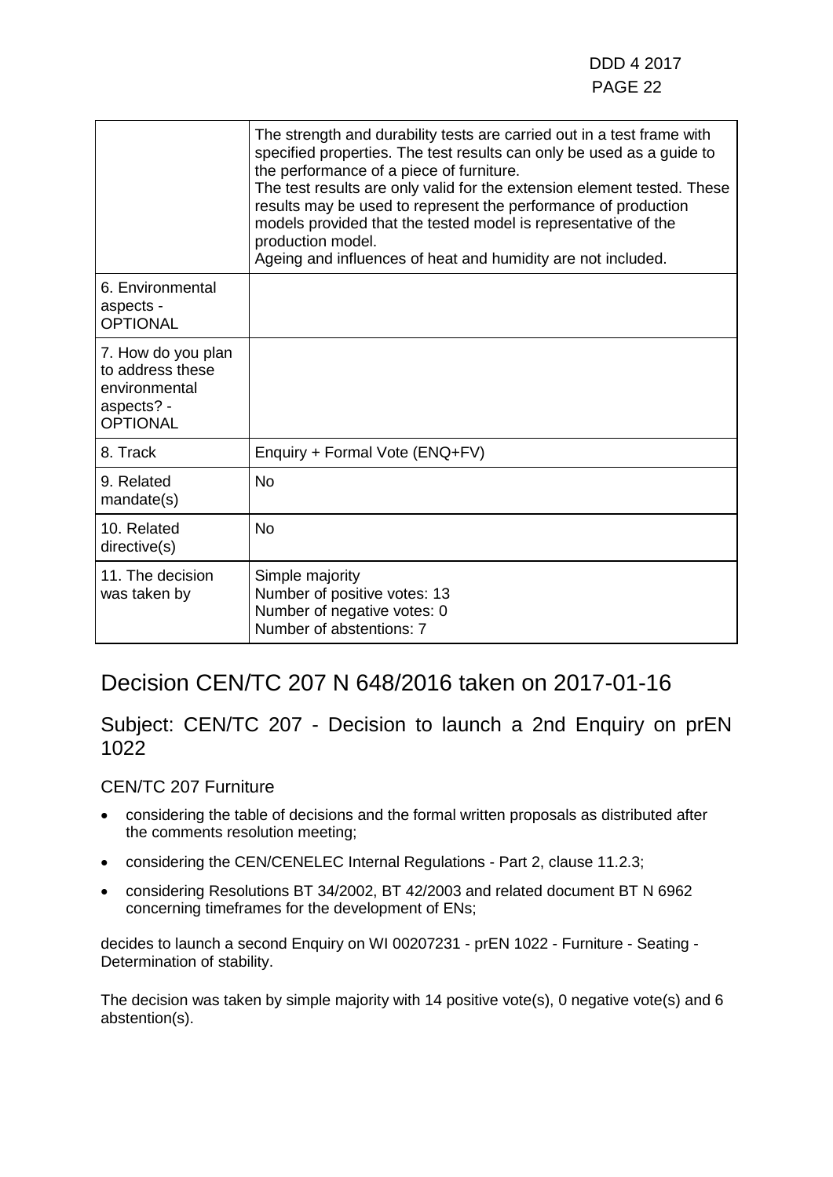|                                                                                          | The strength and durability tests are carried out in a test frame with<br>specified properties. The test results can only be used as a guide to<br>the performance of a piece of furniture.<br>The test results are only valid for the extension element tested. These<br>results may be used to represent the performance of production<br>models provided that the tested model is representative of the<br>production model.<br>Ageing and influences of heat and humidity are not included. |
|------------------------------------------------------------------------------------------|-------------------------------------------------------------------------------------------------------------------------------------------------------------------------------------------------------------------------------------------------------------------------------------------------------------------------------------------------------------------------------------------------------------------------------------------------------------------------------------------------|
| 6. Environmental<br>aspects -<br><b>OPTIONAL</b>                                         |                                                                                                                                                                                                                                                                                                                                                                                                                                                                                                 |
| 7. How do you plan<br>to address these<br>environmental<br>aspects? -<br><b>OPTIONAL</b> |                                                                                                                                                                                                                                                                                                                                                                                                                                                                                                 |
| 8. Track                                                                                 | Enquiry + Formal Vote (ENQ+FV)                                                                                                                                                                                                                                                                                                                                                                                                                                                                  |
| 9. Related<br>mandate(s)                                                                 | <b>No</b>                                                                                                                                                                                                                                                                                                                                                                                                                                                                                       |
| 10. Related<br>directive(s)                                                              | <b>No</b>                                                                                                                                                                                                                                                                                                                                                                                                                                                                                       |
| 11. The decision<br>was taken by                                                         | Simple majority<br>Number of positive votes: 13<br>Number of negative votes: 0<br>Number of abstentions: 7                                                                                                                                                                                                                                                                                                                                                                                      |

### Decision CEN/TC 207 N 648/2016 taken on 2017-01-16

### Subject: CEN/TC 207 - Decision to launch a 2nd Enquiry on prEN 1022

#### CEN/TC 207 Furniture

- considering the table of decisions and the formal written proposals as distributed after the comments resolution meeting;
- considering the CEN/CENELEC Internal Regulations Part 2, clause 11.2.3;
- considering Resolutions BT 34/2002, BT 42/2003 and related document BT N 6962 concerning timeframes for the development of ENs;

decides to launch a second Enquiry on WI 00207231 - prEN 1022 - Furniture - Seating - Determination of stability.

The decision was taken by simple majority with 14 positive vote(s), 0 negative vote(s) and 6 abstention(s).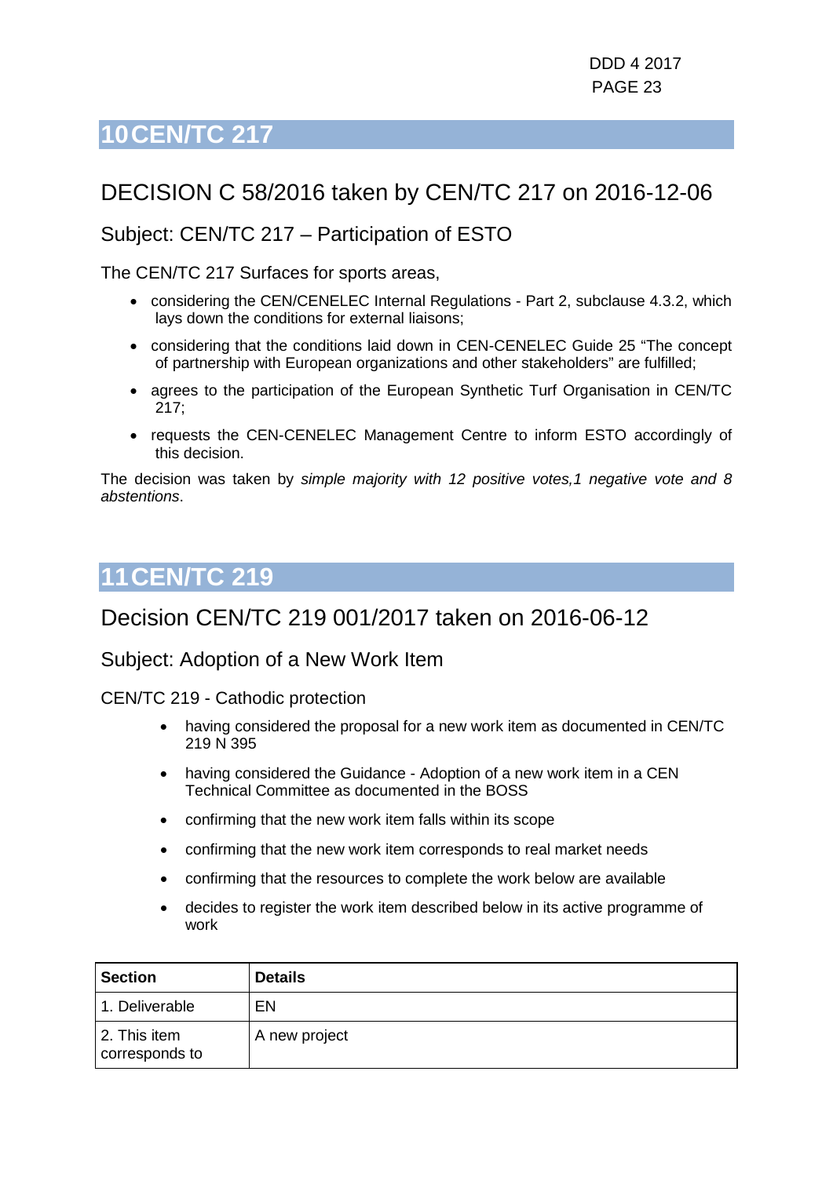## <span id="page-22-0"></span>DECISION C 58/2016 taken by CEN/TC 217 on 2016-12-06

### Subject: CEN/TC 217 – Participation of ESTO

The CEN/TC 217 Surfaces for sports areas,

- considering the CEN/CENELEC Internal Regulations Part 2, subclause 4.3.2, which lays down the conditions for external liaisons;
- considering that the conditions laid down in CEN-CENELEC Guide 25 "The concept of partnership with European organizations and other stakeholders" are fulfilled;
- agrees to the participation of the European Synthetic Turf Organisation in CEN/TC 217;
- requests the CEN-CENELEC Management Centre to inform ESTO accordingly of this decision.

The decision was taken by *simple majority with 12 positive votes,1 negative vote and 8 abstentions*.

## <span id="page-22-1"></span>**11CEN/TC 219**

### Decision CEN/TC 219 001/2017 taken on 2016-06-12

### Subject: Adoption of a New Work Item

CEN/TC 219 - Cathodic protection

- having considered the proposal for a new work item as documented in CEN/TC 219 N 395
- having considered the Guidance Adoption of a new work item in a CEN Technical Committee as documented in the BOSS
- confirming that the new work item falls within its scope
- confirming that the new work item corresponds to real market needs
- confirming that the resources to complete the work below are available
- decides to register the work item described below in its active programme of work

| <b>Section</b>                 | <b>Details</b> |
|--------------------------------|----------------|
| 1. Deliverable                 | EN             |
| 2. This item<br>corresponds to | A new project  |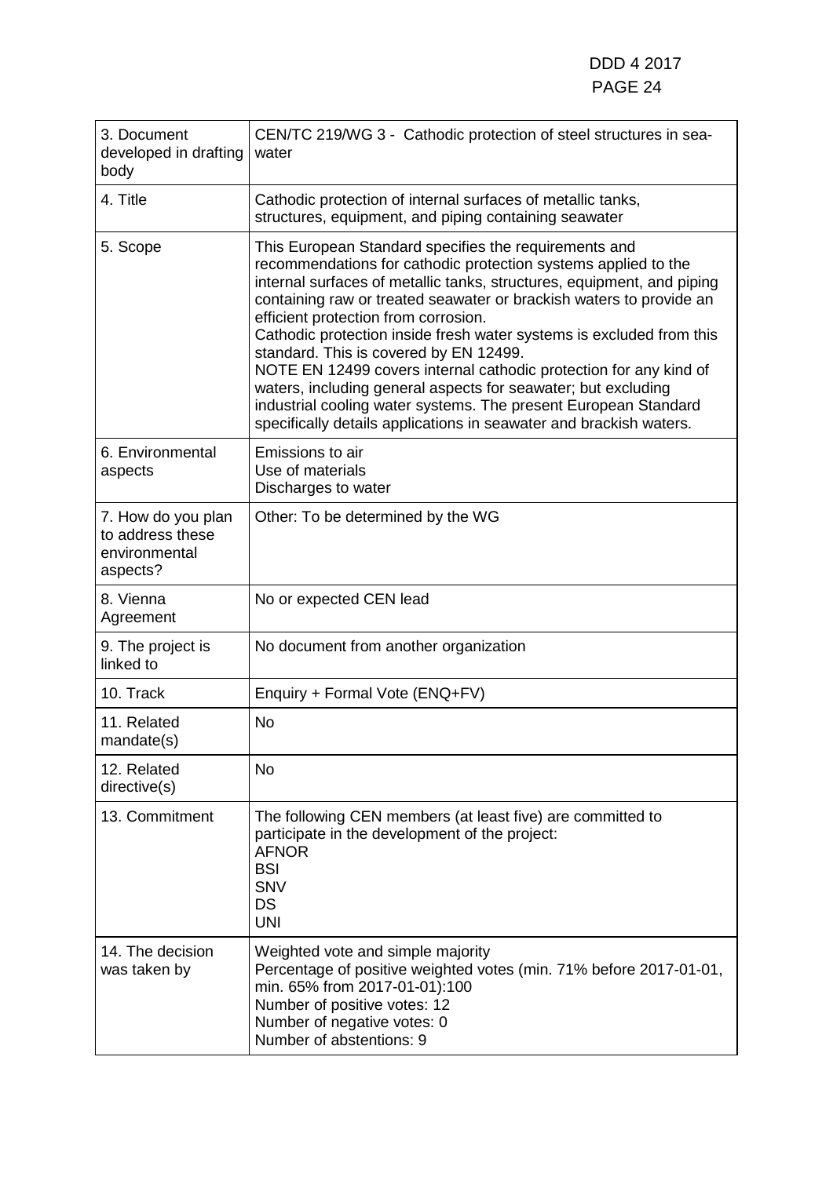| 3. Document<br>developed in drafting<br>body                        | CEN/TC 219/WG 3 - Cathodic protection of steel structures in sea-<br>water                                                                                                                                                                                                                                                                                                                                                                                                                                                                                                                                                                                                                                        |
|---------------------------------------------------------------------|-------------------------------------------------------------------------------------------------------------------------------------------------------------------------------------------------------------------------------------------------------------------------------------------------------------------------------------------------------------------------------------------------------------------------------------------------------------------------------------------------------------------------------------------------------------------------------------------------------------------------------------------------------------------------------------------------------------------|
| 4. Title                                                            | Cathodic protection of internal surfaces of metallic tanks,<br>structures, equipment, and piping containing seawater                                                                                                                                                                                                                                                                                                                                                                                                                                                                                                                                                                                              |
| 5. Scope                                                            | This European Standard specifies the requirements and<br>recommendations for cathodic protection systems applied to the<br>internal surfaces of metallic tanks, structures, equipment, and piping<br>containing raw or treated seawater or brackish waters to provide an<br>efficient protection from corrosion.<br>Cathodic protection inside fresh water systems is excluded from this<br>standard. This is covered by EN 12499.<br>NOTE EN 12499 covers internal cathodic protection for any kind of<br>waters, including general aspects for seawater; but excluding<br>industrial cooling water systems. The present European Standard<br>specifically details applications in seawater and brackish waters. |
| 6. Environmental<br>aspects                                         | Emissions to air<br>Use of materials<br>Discharges to water                                                                                                                                                                                                                                                                                                                                                                                                                                                                                                                                                                                                                                                       |
| 7. How do you plan<br>to address these<br>environmental<br>aspects? | Other: To be determined by the WG                                                                                                                                                                                                                                                                                                                                                                                                                                                                                                                                                                                                                                                                                 |
| 8. Vienna<br>Agreement                                              | No or expected CEN lead                                                                                                                                                                                                                                                                                                                                                                                                                                                                                                                                                                                                                                                                                           |
| 9. The project is<br>linked to                                      | No document from another organization                                                                                                                                                                                                                                                                                                                                                                                                                                                                                                                                                                                                                                                                             |
| 10. Track                                                           | Enquiry + Formal Vote (ENQ+FV)                                                                                                                                                                                                                                                                                                                                                                                                                                                                                                                                                                                                                                                                                    |
| 11. Related<br>mandate(s)                                           | <b>No</b>                                                                                                                                                                                                                                                                                                                                                                                                                                                                                                                                                                                                                                                                                                         |
| 12. Related<br>directive(s)                                         | <b>No</b>                                                                                                                                                                                                                                                                                                                                                                                                                                                                                                                                                                                                                                                                                                         |
| 13. Commitment                                                      | The following CEN members (at least five) are committed to<br>participate in the development of the project:<br><b>AFNOR</b><br><b>BSI</b><br><b>SNV</b><br>DS<br><b>UNI</b>                                                                                                                                                                                                                                                                                                                                                                                                                                                                                                                                      |
| 14. The decision<br>was taken by                                    | Weighted vote and simple majority<br>Percentage of positive weighted votes (min. 71% before 2017-01-01,<br>min. 65% from 2017-01-01):100<br>Number of positive votes: 12<br>Number of negative votes: 0<br>Number of abstentions: 9                                                                                                                                                                                                                                                                                                                                                                                                                                                                               |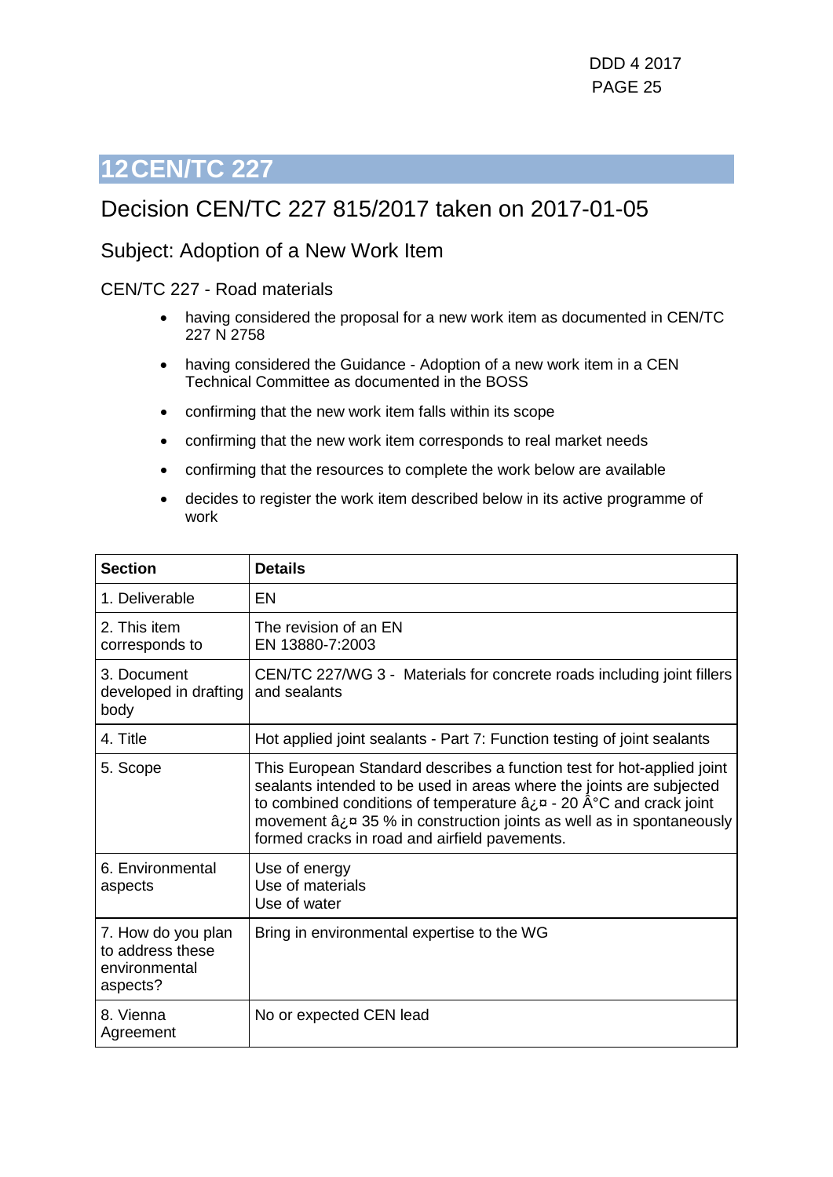### <span id="page-24-0"></span>Decision CEN/TC 227 815/2017 taken on 2017-01-05

### Subject: Adoption of a New Work Item

#### CEN/TC 227 - Road materials

- having considered the proposal for a new work item as documented in CEN/TC 227 N 2758
- having considered the Guidance Adoption of a new work item in a CEN Technical Committee as documented in the BOSS
- confirming that the new work item falls within its scope
- confirming that the new work item corresponds to real market needs
- confirming that the resources to complete the work below are available
- decides to register the work item described below in its active programme of work

| <b>Section</b>                                                      | <b>Details</b>                                                                                                                                                                                                                                                                                                                                                                                |
|---------------------------------------------------------------------|-----------------------------------------------------------------------------------------------------------------------------------------------------------------------------------------------------------------------------------------------------------------------------------------------------------------------------------------------------------------------------------------------|
| 1. Deliverable                                                      | EN                                                                                                                                                                                                                                                                                                                                                                                            |
| 2. This item<br>corresponds to                                      | The revision of an EN<br>EN 13880-7:2003                                                                                                                                                                                                                                                                                                                                                      |
| 3. Document<br>developed in drafting<br>body                        | CEN/TC 227/WG 3 - Materials for concrete roads including joint fillers<br>and sealants                                                                                                                                                                                                                                                                                                        |
| 4. Title                                                            | Hot applied joint sealants - Part 7: Function testing of joint sealants                                                                                                                                                                                                                                                                                                                       |
| 5. Scope                                                            | This European Standard describes a function test for hot-applied joint<br>sealants intended to be used in areas where the joints are subjected<br>to combined conditions of temperature $\hat{a}_L \varpi$ - 20 $\hat{A}^{\circ}$ C and crack joint<br>movement $\hat{a}_i$ $\alpha$ 35 % in construction joints as well as in spontaneously<br>formed cracks in road and airfield pavements. |
| 6. Environmental<br>aspects                                         | Use of energy<br>Use of materials<br>Use of water                                                                                                                                                                                                                                                                                                                                             |
| 7. How do you plan<br>to address these<br>environmental<br>aspects? | Bring in environmental expertise to the WG                                                                                                                                                                                                                                                                                                                                                    |
| 8. Vienna<br>Agreement                                              | No or expected CEN lead                                                                                                                                                                                                                                                                                                                                                                       |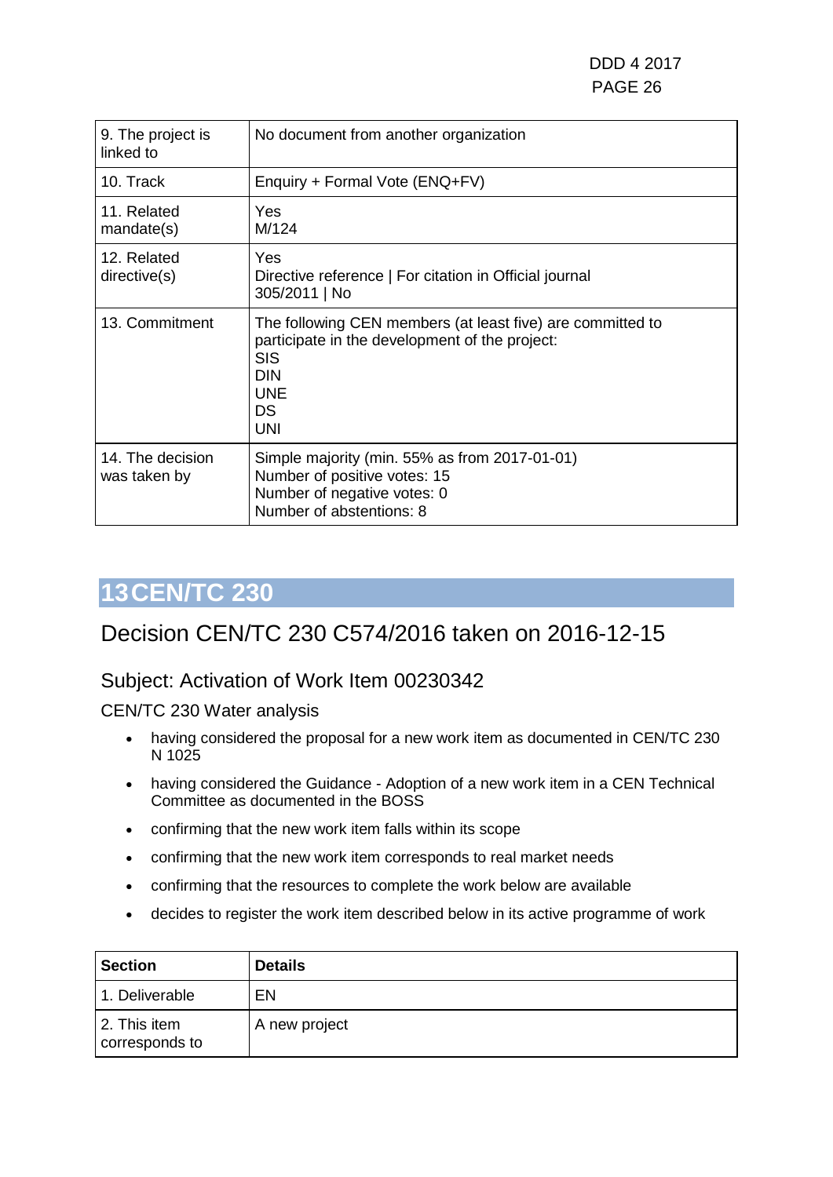DDD 4 2017 PAGE 26

| 9. The project is<br>linked to   | No document from another organization                                                                                                                                             |
|----------------------------------|-----------------------------------------------------------------------------------------------------------------------------------------------------------------------------------|
| 10. Track                        | Enquiry + Formal Vote (ENQ+FV)                                                                                                                                                    |
| 11. Related<br>mandate(s)        | Yes<br>M/124                                                                                                                                                                      |
| 12. Related<br>directive(s)      | Yes<br>Directive reference   For citation in Official journal<br>305/2011   No                                                                                                    |
| 13. Commitment                   | The following CEN members (at least five) are committed to<br>participate in the development of the project:<br><b>SIS</b><br><b>DIN</b><br><b>UNE</b><br><b>DS</b><br><b>UNI</b> |
| 14. The decision<br>was taken by | Simple majority (min. 55% as from 2017-01-01)<br>Number of positive votes: 15<br>Number of negative votes: 0<br>Number of abstentions: 8                                          |

## <span id="page-25-0"></span>**13CEN/TC 230**

### Decision CEN/TC 230 C574/2016 taken on 2016-12-15

### Subject: Activation of Work Item 00230342

CEN/TC 230 Water analysis

- having considered the proposal for a new work item as documented in CEN/TC 230 N 1025
- having considered the Guidance Adoption of a new work item in a CEN Technical Committee as documented in the BOSS
- confirming that the new work item falls within its scope
- confirming that the new work item corresponds to real market needs
- confirming that the resources to complete the work below are available
- decides to register the work item described below in its active programme of work

| <b>Section</b>                 | <b>Details</b> |
|--------------------------------|----------------|
| 1. Deliverable                 | EN             |
| 2. This item<br>corresponds to | A new project  |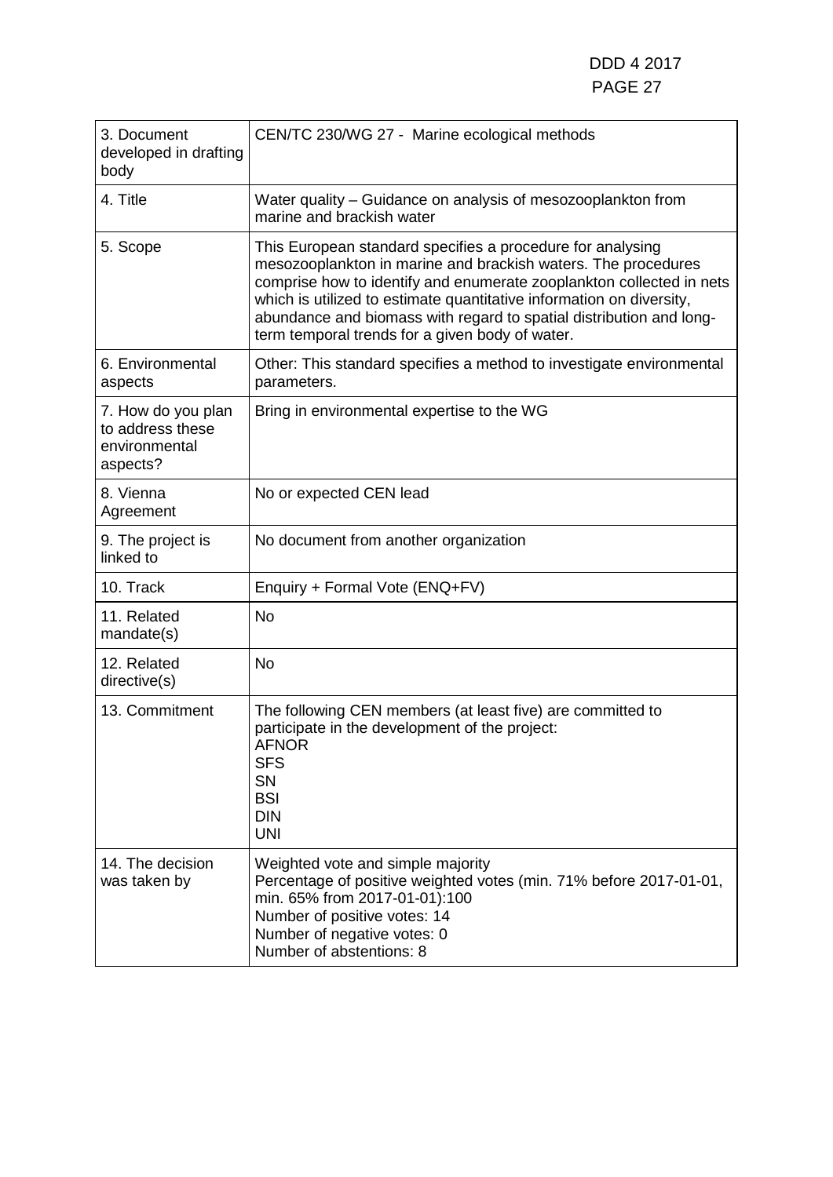| 3. Document<br>developed in drafting<br>body                        | CEN/TC 230/WG 27 - Marine ecological methods                                                                                                                                                                                                                                                                                                                                                          |
|---------------------------------------------------------------------|-------------------------------------------------------------------------------------------------------------------------------------------------------------------------------------------------------------------------------------------------------------------------------------------------------------------------------------------------------------------------------------------------------|
| 4. Title                                                            | Water quality – Guidance on analysis of mesozooplankton from<br>marine and brackish water                                                                                                                                                                                                                                                                                                             |
| 5. Scope                                                            | This European standard specifies a procedure for analysing<br>mesozooplankton in marine and brackish waters. The procedures<br>comprise how to identify and enumerate zooplankton collected in nets<br>which is utilized to estimate quantitative information on diversity,<br>abundance and biomass with regard to spatial distribution and long-<br>term temporal trends for a given body of water. |
| 6. Environmental<br>aspects                                         | Other: This standard specifies a method to investigate environmental<br>parameters.                                                                                                                                                                                                                                                                                                                   |
| 7. How do you plan<br>to address these<br>environmental<br>aspects? | Bring in environmental expertise to the WG                                                                                                                                                                                                                                                                                                                                                            |
| 8. Vienna<br>Agreement                                              | No or expected CEN lead                                                                                                                                                                                                                                                                                                                                                                               |
| 9. The project is<br>linked to                                      | No document from another organization                                                                                                                                                                                                                                                                                                                                                                 |
| 10. Track                                                           | Enquiry + Formal Vote (ENQ+FV)                                                                                                                                                                                                                                                                                                                                                                        |
| 11. Related<br>mandate(s)                                           | <b>No</b>                                                                                                                                                                                                                                                                                                                                                                                             |
| 12. Related<br>directive(s)                                         | <b>No</b>                                                                                                                                                                                                                                                                                                                                                                                             |
| 13. Commitment                                                      | The following CEN members (at least five) are committed to<br>participate in the development of the project:<br><b>AFNOR</b><br><b>SFS</b><br>SN<br><b>BSI</b><br><b>DIN</b><br><b>UNI</b>                                                                                                                                                                                                            |
| 14. The decision<br>was taken by                                    | Weighted vote and simple majority<br>Percentage of positive weighted votes (min. 71% before 2017-01-01,<br>min. 65% from 2017-01-01):100<br>Number of positive votes: 14<br>Number of negative votes: 0<br>Number of abstentions: 8                                                                                                                                                                   |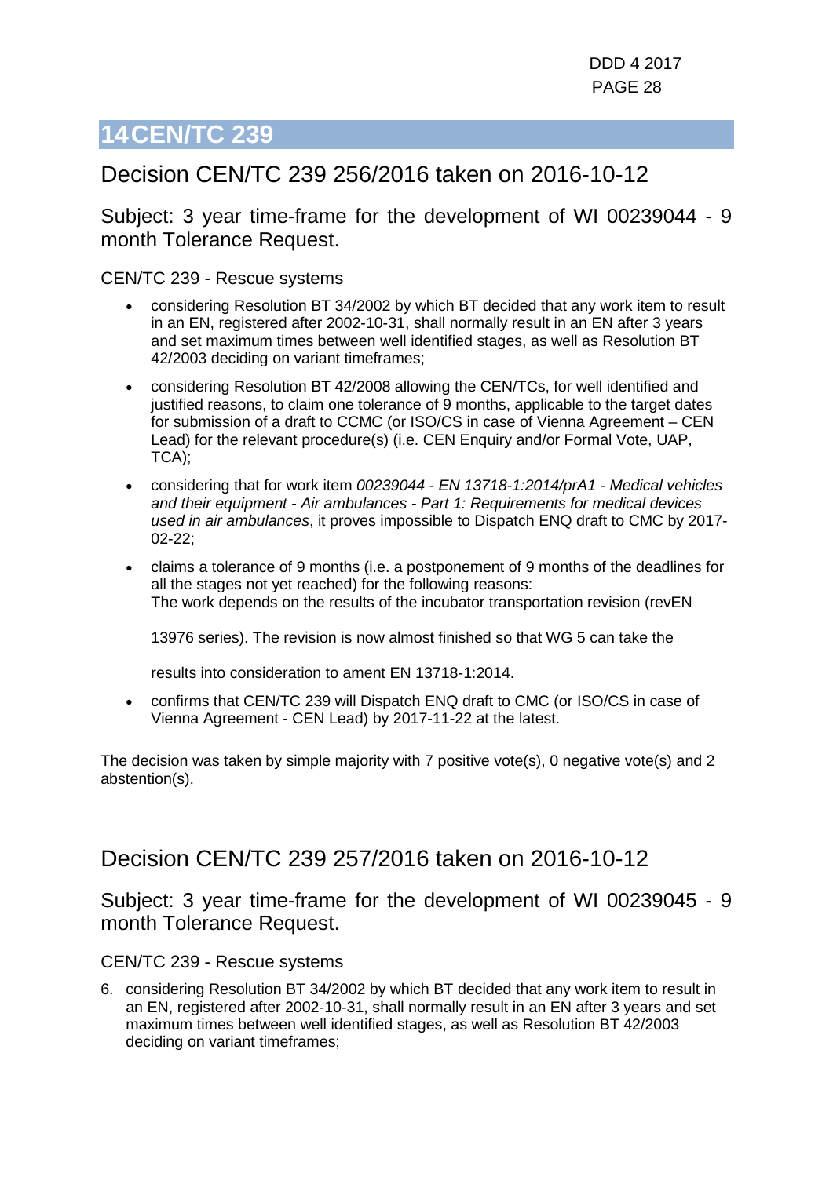### <span id="page-27-0"></span>Decision CEN/TC 239 256/2016 taken on 2016-10-12

Subject: 3 year time-frame for the development of WI 00239044 - 9 month Tolerance Request.

CEN/TC 239 - Rescue systems

- considering Resolution BT 34/2002 by which BT decided that any work item to result in an EN, registered after 2002-10-31, shall normally result in an EN after 3 years and set maximum times between well identified stages, as well as Resolution BT 42/2003 deciding on variant timeframes;
- considering Resolution BT 42/2008 allowing the CEN/TCs, for well identified and justified reasons, to claim one tolerance of 9 months, applicable to the target dates for submission of a draft to CCMC (or ISO/CS in case of Vienna Agreement – CEN Lead) for the relevant procedure(s) (i.e. CEN Enquiry and/or Formal Vote, UAP, TCA);
- considering that for work item *00239044 - EN 13718-1:2014/prA1 - Medical vehicles and their equipment - Air ambulances - Part 1: Requirements for medical devices used in air ambulances*, it proves impossible to Dispatch ENQ draft to CMC by 2017- 02-22;
- claims a tolerance of 9 months (i.e. a postponement of 9 months of the deadlines for all the stages not yet reached) for the following reasons: The work depends on the results of the incubator transportation revision (revEN

13976 series). The revision is now almost finished so that WG 5 can take the

results into consideration to ament EN 13718-1:2014.

• confirms that CEN/TC 239 will Dispatch ENQ draft to CMC (or ISO/CS in case of Vienna Agreement - CEN Lead) by 2017-11-22 at the latest.

The decision was taken by simple majority with 7 positive vote(s), 0 negative vote(s) and 2 abstention(s).

### Decision CEN/TC 239 257/2016 taken on 2016-10-12

Subject: 3 year time-frame for the development of WI 00239045 - 9 month Tolerance Request.

CEN/TC 239 - Rescue systems

6. considering Resolution BT 34/2002 by which BT decided that any work item to result in an EN, registered after 2002-10-31, shall normally result in an EN after 3 years and set maximum times between well identified stages, as well as Resolution BT 42/2003 deciding on variant timeframes;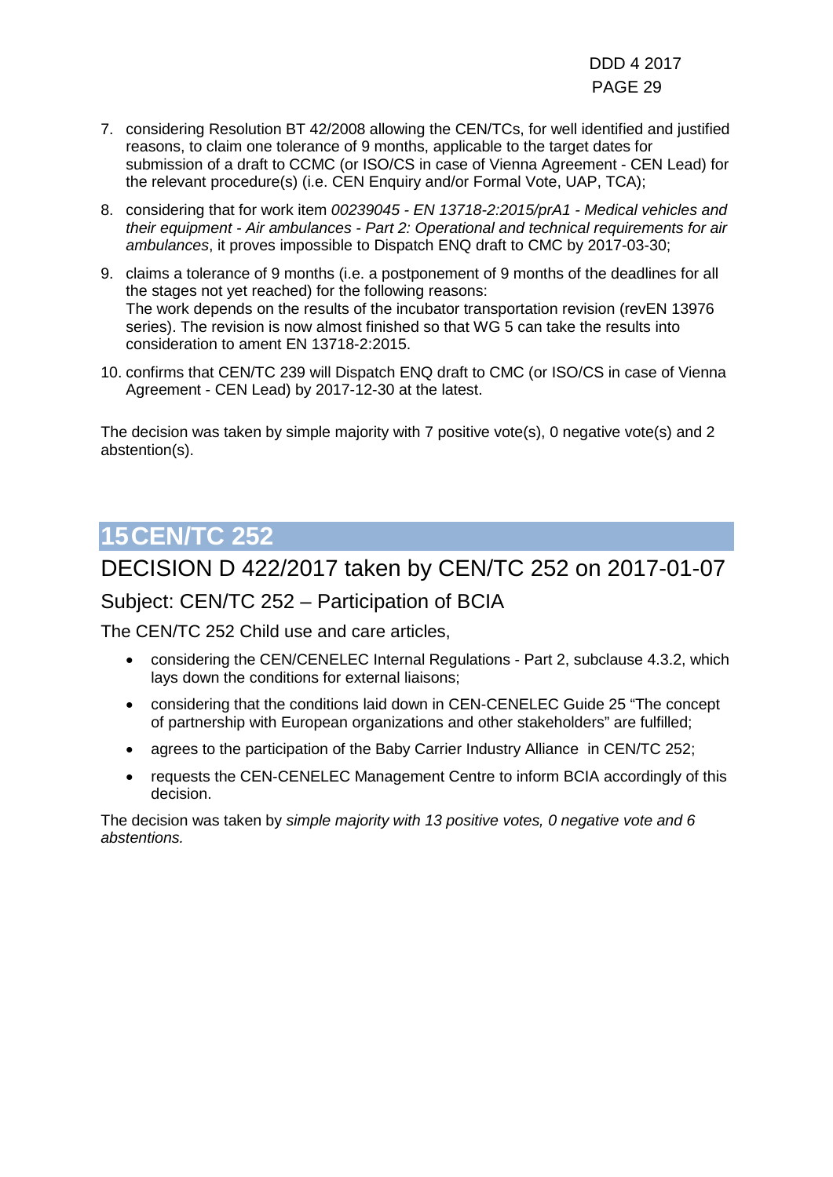DDD 4 2017 PAGE 29

- 7. considering Resolution BT 42/2008 allowing the CEN/TCs, for well identified and justified reasons, to claim one tolerance of 9 months, applicable to the target dates for submission of a draft to CCMC (or ISO/CS in case of Vienna Agreement - CEN Lead) for the relevant procedure(s) (i.e. CEN Enquiry and/or Formal Vote, UAP, TCA);
- 8. considering that for work item *00239045 - EN 13718-2:2015/prA1 - Medical vehicles and their equipment - Air ambulances - Part 2: Operational and technical requirements for air ambulances*, it proves impossible to Dispatch ENQ draft to CMC by 2017-03-30;
- 9. claims a tolerance of 9 months (i.e. a postponement of 9 months of the deadlines for all the stages not yet reached) for the following reasons: The work depends on the results of the incubator transportation revision (revEN 13976 series). The revision is now almost finished so that WG 5 can take the results into consideration to ament EN 13718-2:2015.
- 10. confirms that CEN/TC 239 will Dispatch ENQ draft to CMC (or ISO/CS in case of Vienna Agreement - CEN Lead) by 2017-12-30 at the latest.

The decision was taken by simple majority with 7 positive vote(s), 0 negative vote(s) and 2 abstention(s).

## <span id="page-28-0"></span>**15CEN/TC 252**

### DECISION D 422/2017 taken by CEN/TC 252 on 2017-01-07

Subject: CEN/TC 252 – Participation of BCIA

The CEN/TC 252 Child use and care articles,

- considering the CEN/CENELEC Internal Regulations Part 2, subclause 4.3.2, which lays down the conditions for external liaisons;
- considering that the conditions laid down in CEN-CENELEC Guide 25 "The concept of partnership with European organizations and other stakeholders" are fulfilled;
- agrees to the participation of the Baby Carrier Industry Alliance in CEN/TC 252;
- requests the CEN-CENELEC Management Centre to inform BCIA accordingly of this decision.

The decision was taken by *simple majority with 13 positive votes, 0 negative vote and 6 abstentions.*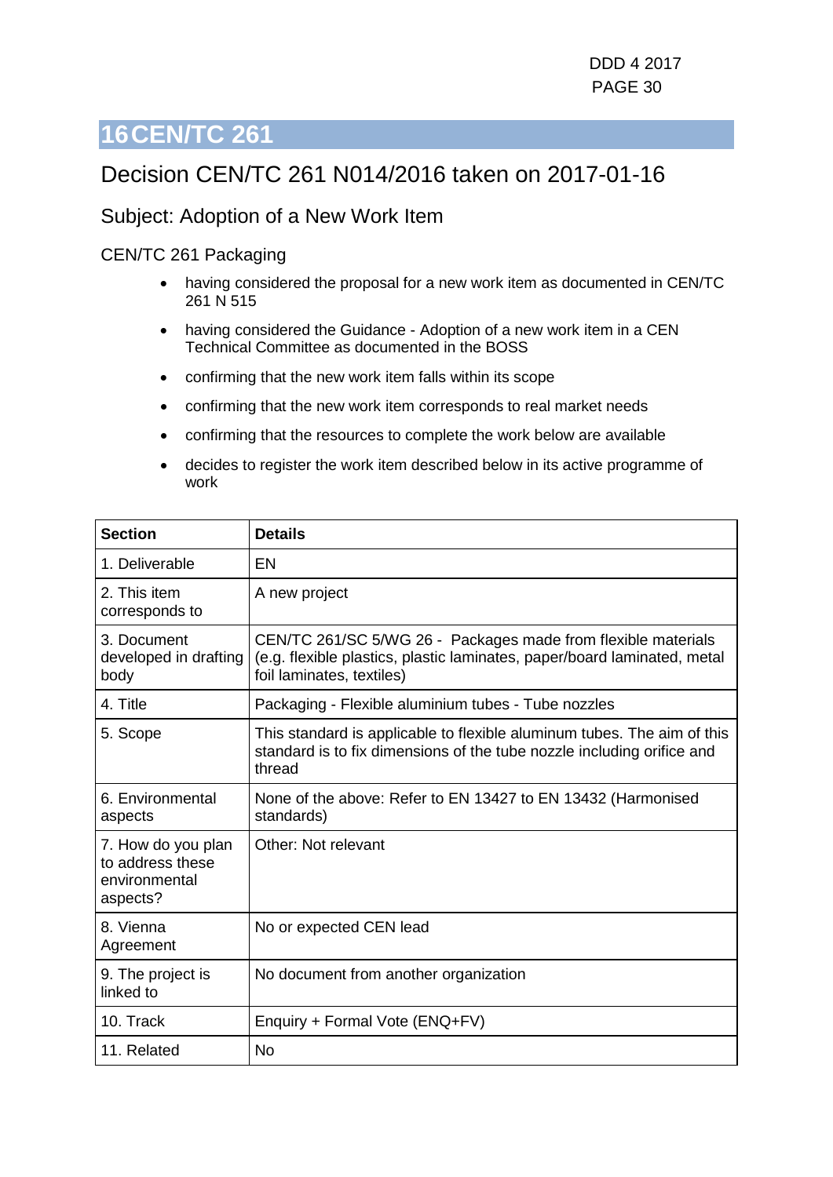### <span id="page-29-0"></span>Decision CEN/TC 261 N014/2016 taken on 2017-01-16

### Subject: Adoption of a New Work Item

#### CEN/TC 261 Packaging

- having considered the proposal for a new work item as documented in CEN/TC 261 N 515
- having considered the Guidance Adoption of a new work item in a CEN Technical Committee as documented in the BOSS
- confirming that the new work item falls within its scope
- confirming that the new work item corresponds to real market needs
- confirming that the resources to complete the work below are available
- decides to register the work item described below in its active programme of work

| <b>Section</b>                                                      | <b>Details</b>                                                                                                                                                         |
|---------------------------------------------------------------------|------------------------------------------------------------------------------------------------------------------------------------------------------------------------|
| 1. Deliverable                                                      | EN                                                                                                                                                                     |
| 2. This item<br>corresponds to                                      | A new project                                                                                                                                                          |
| 3. Document<br>developed in drafting<br>body                        | CEN/TC 261/SC 5/WG 26 - Packages made from flexible materials<br>(e.g. flexible plastics, plastic laminates, paper/board laminated, metal<br>foil laminates, textiles) |
| 4. Title                                                            | Packaging - Flexible aluminium tubes - Tube nozzles                                                                                                                    |
| 5. Scope                                                            | This standard is applicable to flexible aluminum tubes. The aim of this<br>standard is to fix dimensions of the tube nozzle including orifice and<br>thread            |
| 6. Environmental<br>aspects                                         | None of the above: Refer to EN 13427 to EN 13432 (Harmonised<br>standards)                                                                                             |
| 7. How do you plan<br>to address these<br>environmental<br>aspects? | Other: Not relevant                                                                                                                                                    |
| 8. Vienna<br>Agreement                                              | No or expected CEN lead                                                                                                                                                |
| 9. The project is<br>linked to                                      | No document from another organization                                                                                                                                  |
| 10. Track                                                           | Enquiry + Formal Vote (ENQ+FV)                                                                                                                                         |
| 11. Related                                                         | <b>No</b>                                                                                                                                                              |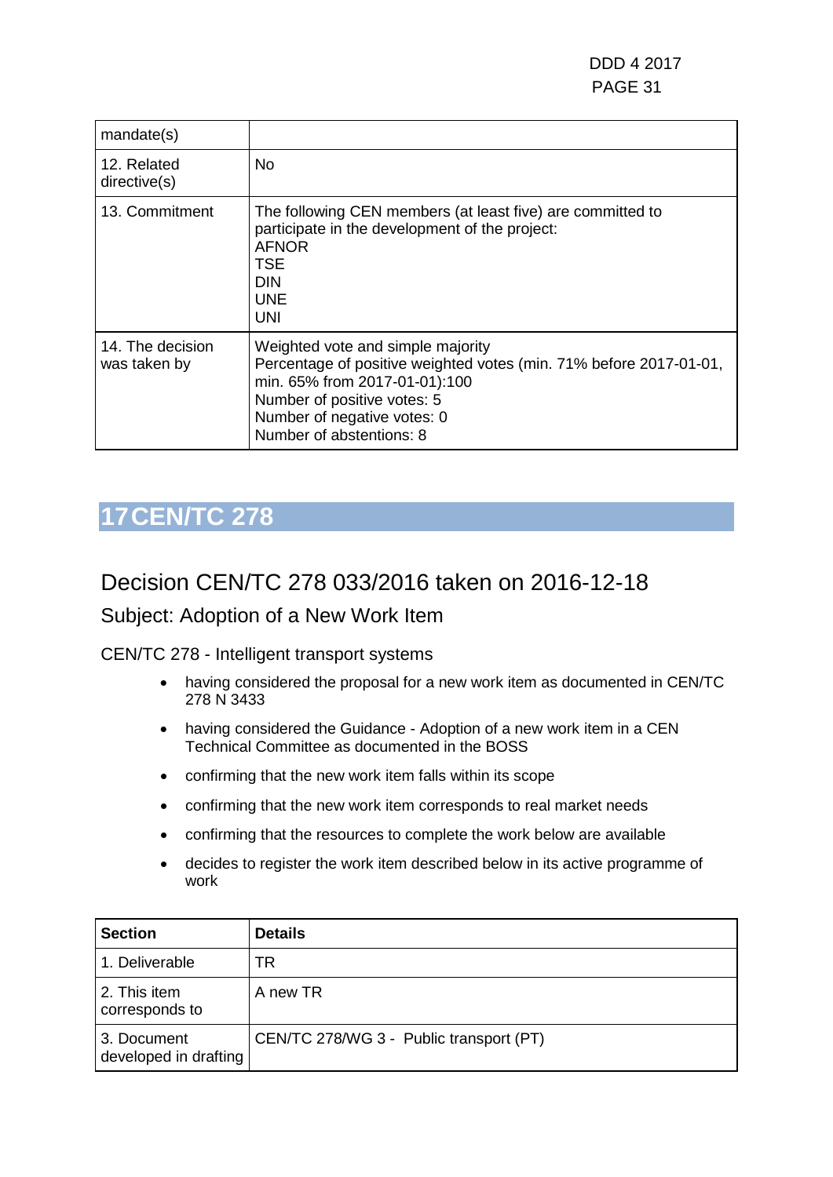| mandate(s)                       |                                                                                                                                                                                                                                    |
|----------------------------------|------------------------------------------------------------------------------------------------------------------------------------------------------------------------------------------------------------------------------------|
| 12. Related<br>directive(s)      | No                                                                                                                                                                                                                                 |
| 13. Commitment                   | The following CEN members (at least five) are committed to<br>participate in the development of the project:<br><b>AFNOR</b><br><b>TSE</b><br><b>DIN</b><br><b>UNE</b><br><b>UNI</b>                                               |
| 14. The decision<br>was taken by | Weighted vote and simple majority<br>Percentage of positive weighted votes (min. 71% before 2017-01-01,<br>min. 65% from 2017-01-01):100<br>Number of positive votes: 5<br>Number of negative votes: 0<br>Number of abstentions: 8 |

### <span id="page-30-0"></span>Decision CEN/TC 278 033/2016 taken on 2016-12-18

### Subject: Adoption of a New Work Item

CEN/TC 278 - Intelligent transport systems

- having considered the proposal for a new work item as documented in CEN/TC 278 N 3433
- having considered the Guidance Adoption of a new work item in a CEN Technical Committee as documented in the BOSS
- confirming that the new work item falls within its scope
- confirming that the new work item corresponds to real market needs
- confirming that the resources to complete the work below are available
- decides to register the work item described below in its active programme of work

| <b>Section</b>                       | <b>Details</b>                          |
|--------------------------------------|-----------------------------------------|
| 1. Deliverable                       | TR                                      |
| 2. This item<br>corresponds to       | A new TR                                |
| 3. Document<br>developed in drafting | CEN/TC 278/WG 3 - Public transport (PT) |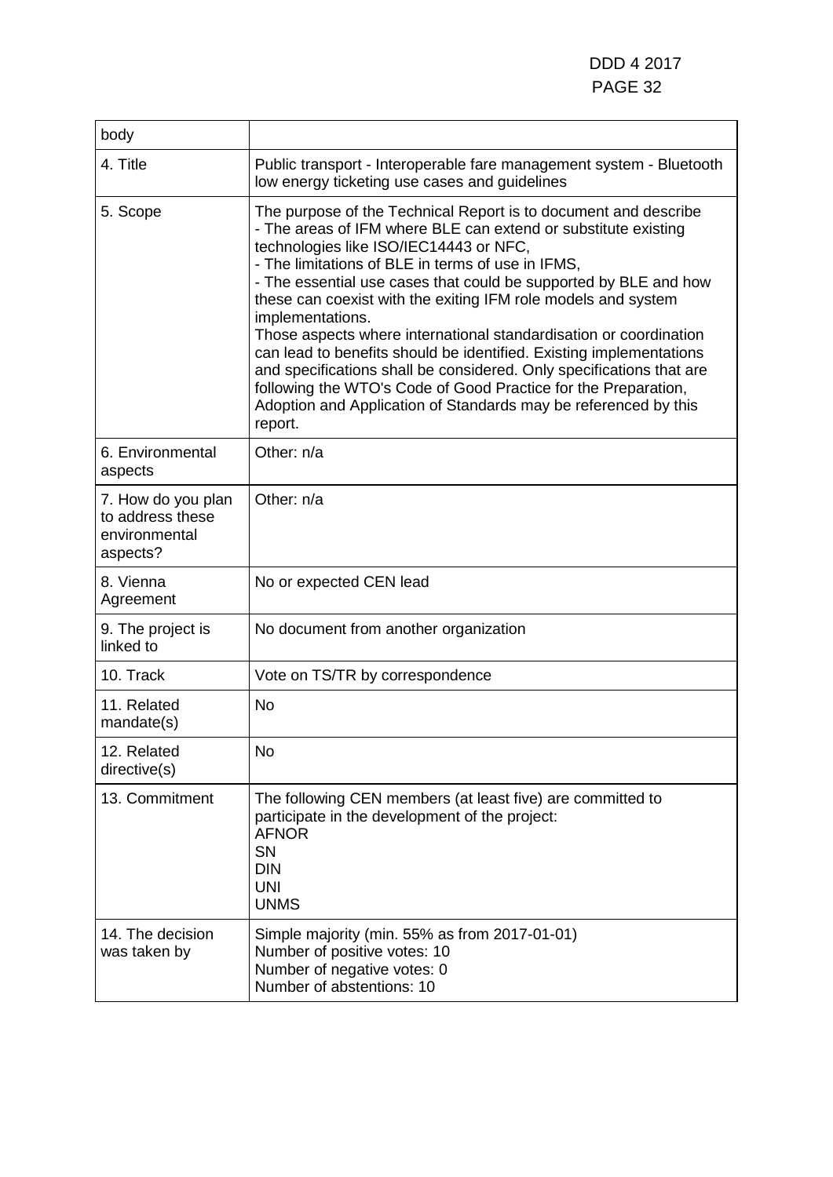| body                                                                |                                                                                                                                                                                                                                                                                                                                                                                                                                                                                                                                                                                                                                                                                                                                                               |
|---------------------------------------------------------------------|---------------------------------------------------------------------------------------------------------------------------------------------------------------------------------------------------------------------------------------------------------------------------------------------------------------------------------------------------------------------------------------------------------------------------------------------------------------------------------------------------------------------------------------------------------------------------------------------------------------------------------------------------------------------------------------------------------------------------------------------------------------|
| 4. Title                                                            | Public transport - Interoperable fare management system - Bluetooth<br>low energy ticketing use cases and guidelines                                                                                                                                                                                                                                                                                                                                                                                                                                                                                                                                                                                                                                          |
| 5. Scope                                                            | The purpose of the Technical Report is to document and describe<br>- The areas of IFM where BLE can extend or substitute existing<br>technologies like ISO/IEC14443 or NFC,<br>- The limitations of BLE in terms of use in IFMS,<br>- The essential use cases that could be supported by BLE and how<br>these can coexist with the exiting IFM role models and system<br>implementations.<br>Those aspects where international standardisation or coordination<br>can lead to benefits should be identified. Existing implementations<br>and specifications shall be considered. Only specifications that are<br>following the WTO's Code of Good Practice for the Preparation,<br>Adoption and Application of Standards may be referenced by this<br>report. |
| 6. Environmental<br>aspects                                         | Other: n/a                                                                                                                                                                                                                                                                                                                                                                                                                                                                                                                                                                                                                                                                                                                                                    |
| 7. How do you plan<br>to address these<br>environmental<br>aspects? | Other: n/a                                                                                                                                                                                                                                                                                                                                                                                                                                                                                                                                                                                                                                                                                                                                                    |
| 8. Vienna<br>Agreement                                              | No or expected CEN lead                                                                                                                                                                                                                                                                                                                                                                                                                                                                                                                                                                                                                                                                                                                                       |
| 9. The project is<br>linked to                                      | No document from another organization                                                                                                                                                                                                                                                                                                                                                                                                                                                                                                                                                                                                                                                                                                                         |
| 10. Track                                                           | Vote on TS/TR by correspondence                                                                                                                                                                                                                                                                                                                                                                                                                                                                                                                                                                                                                                                                                                                               |
| 11. Related<br>mandate(s)                                           | <b>No</b>                                                                                                                                                                                                                                                                                                                                                                                                                                                                                                                                                                                                                                                                                                                                                     |
| 12. Related<br>directive(s)                                         | <b>No</b>                                                                                                                                                                                                                                                                                                                                                                                                                                                                                                                                                                                                                                                                                                                                                     |
| 13. Commitment                                                      | The following CEN members (at least five) are committed to<br>participate in the development of the project:<br><b>AFNOR</b><br>SN<br><b>DIN</b><br><b>UNI</b><br><b>UNMS</b>                                                                                                                                                                                                                                                                                                                                                                                                                                                                                                                                                                                 |
| 14. The decision<br>was taken by                                    | Simple majority (min. 55% as from 2017-01-01)<br>Number of positive votes: 10<br>Number of negative votes: 0<br>Number of abstentions: 10                                                                                                                                                                                                                                                                                                                                                                                                                                                                                                                                                                                                                     |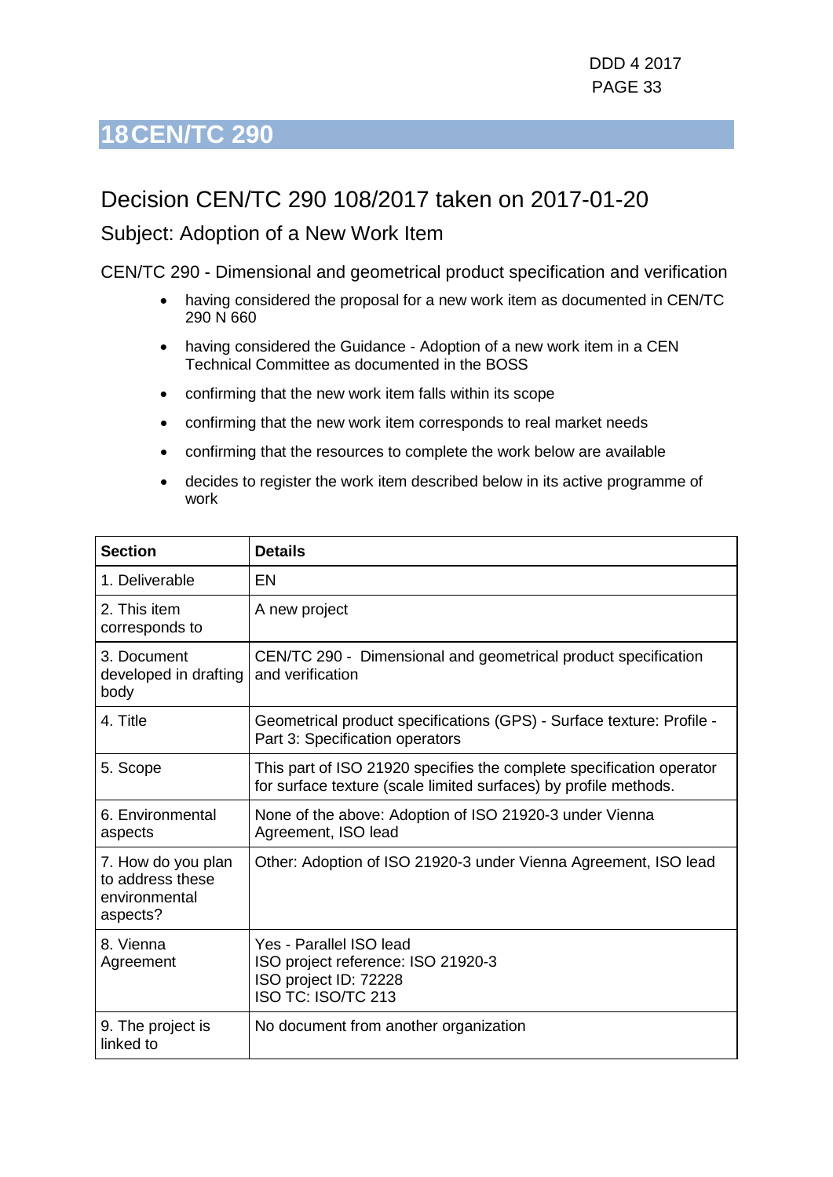### <span id="page-32-0"></span>Decision CEN/TC 290 108/2017 taken on 2017-01-20

### Subject: Adoption of a New Work Item

CEN/TC 290 - Dimensional and geometrical product specification and verification

- having considered the proposal for a new work item as documented in CEN/TC 290 N 660
- having considered the Guidance Adoption of a new work item in a CEN Technical Committee as documented in the BOSS
- confirming that the new work item falls within its scope
- confirming that the new work item corresponds to real market needs
- confirming that the resources to complete the work below are available
- decides to register the work item described below in its active programme of work

| <b>Section</b>                                                      | <b>Details</b>                                                                                                                           |
|---------------------------------------------------------------------|------------------------------------------------------------------------------------------------------------------------------------------|
| 1. Deliverable                                                      | EN                                                                                                                                       |
| 2. This item<br>corresponds to                                      | A new project                                                                                                                            |
| 3. Document<br>developed in drafting<br>body                        | CEN/TC 290 - Dimensional and geometrical product specification<br>and verification                                                       |
| 4. Title                                                            | Geometrical product specifications (GPS) - Surface texture: Profile -<br>Part 3: Specification operators                                 |
| 5. Scope                                                            | This part of ISO 21920 specifies the complete specification operator<br>for surface texture (scale limited surfaces) by profile methods. |
| 6. Environmental<br>aspects                                         | None of the above: Adoption of ISO 21920-3 under Vienna<br>Agreement, ISO lead                                                           |
| 7. How do you plan<br>to address these<br>environmental<br>aspects? | Other: Adoption of ISO 21920-3 under Vienna Agreement, ISO lead                                                                          |
| 8. Vienna<br>Agreement                                              | Yes - Parallel ISO lead<br>ISO project reference: ISO 21920-3<br>ISO project ID: 72228<br>ISO TC: ISO/TC 213                             |
| 9. The project is<br>linked to                                      | No document from another organization                                                                                                    |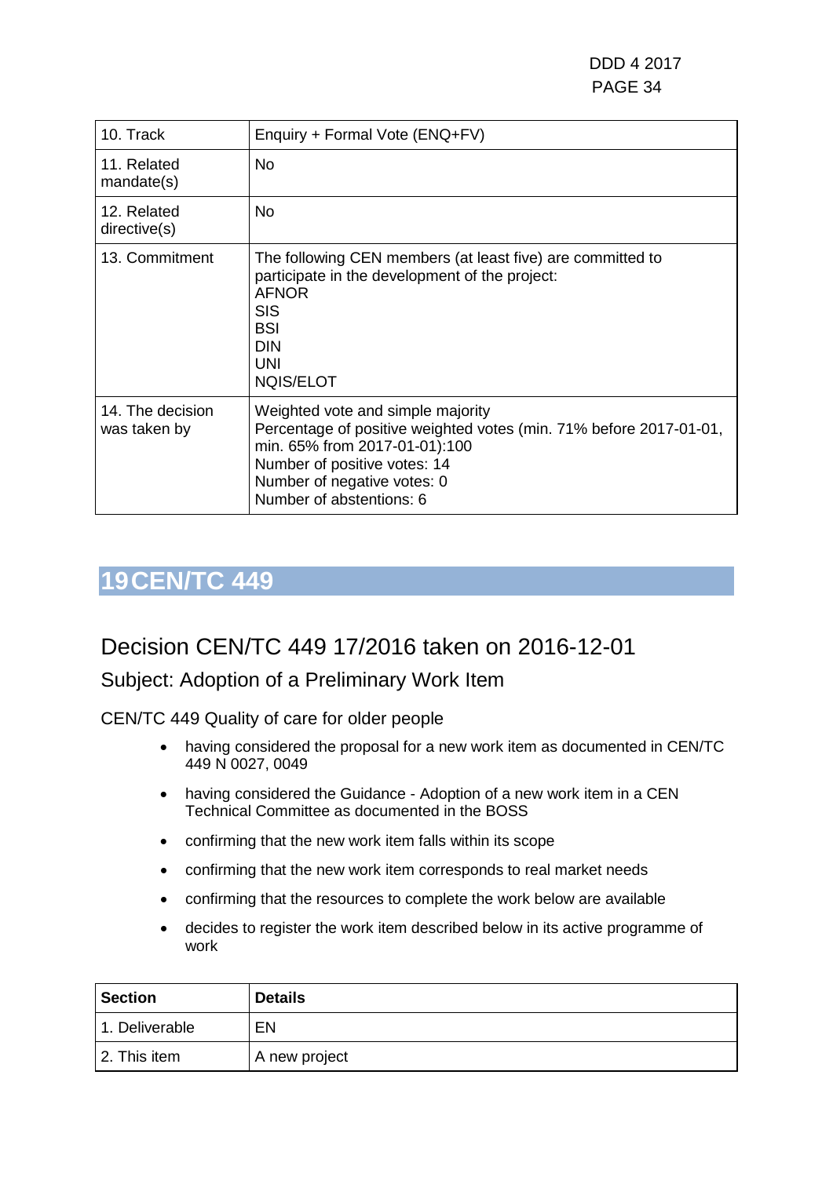DDD 4 2017 PAGE 34

| 10. Track                        | Enquiry + Formal Vote (ENQ+FV)                                                                                                                                                                                                      |
|----------------------------------|-------------------------------------------------------------------------------------------------------------------------------------------------------------------------------------------------------------------------------------|
| 11. Related<br>mandate(s)        | No.                                                                                                                                                                                                                                 |
| 12. Related<br>directive(s)      | No.                                                                                                                                                                                                                                 |
| 13. Commitment                   | The following CEN members (at least five) are committed to<br>participate in the development of the project:<br><b>AFNOR</b><br><b>SIS</b><br><b>BSI</b><br><b>DIN</b><br>UNI<br><b>NQIS/ELOT</b>                                   |
| 14. The decision<br>was taken by | Weighted vote and simple majority<br>Percentage of positive weighted votes (min. 71% before 2017-01-01,<br>min. 65% from 2017-01-01):100<br>Number of positive votes: 14<br>Number of negative votes: 0<br>Number of abstentions: 6 |

### <span id="page-33-0"></span>**19CEN/TC 449**

## Decision CEN/TC 449 17/2016 taken on 2016-12-01

### Subject: Adoption of a Preliminary Work Item

CEN/TC 449 Quality of care for older people

- having considered the proposal for a new work item as documented in CEN/TC 449 N 0027, 0049
- having considered the Guidance Adoption of a new work item in a CEN Technical Committee as documented in the BOSS
- confirming that the new work item falls within its scope
- confirming that the new work item corresponds to real market needs
- confirming that the resources to complete the work below are available
- decides to register the work item described below in its active programme of work

| <b>Section</b> | <b>Details</b> |
|----------------|----------------|
| 1. Deliverable | EN             |
| 2. This item   | A new project  |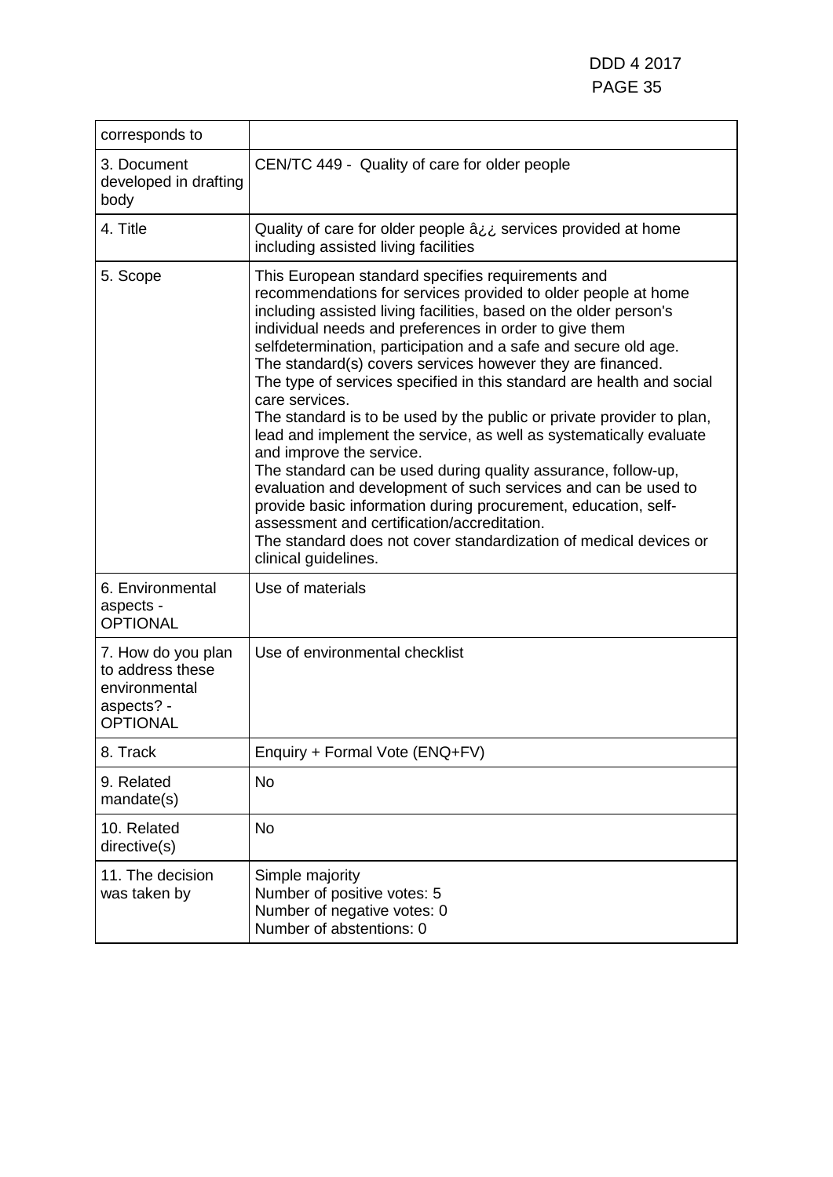| corresponds to                                                                           |                                                                                                                                                                                                                                                                                                                                                                                                                                                                                                                                                                                                                                                                                                                                                                                                                                                                                                                                                                                                           |
|------------------------------------------------------------------------------------------|-----------------------------------------------------------------------------------------------------------------------------------------------------------------------------------------------------------------------------------------------------------------------------------------------------------------------------------------------------------------------------------------------------------------------------------------------------------------------------------------------------------------------------------------------------------------------------------------------------------------------------------------------------------------------------------------------------------------------------------------------------------------------------------------------------------------------------------------------------------------------------------------------------------------------------------------------------------------------------------------------------------|
| 3. Document<br>developed in drafting<br>body                                             | CEN/TC 449 - Quality of care for older people                                                                                                                                                                                                                                                                                                                                                                                                                                                                                                                                                                                                                                                                                                                                                                                                                                                                                                                                                             |
| 4. Title                                                                                 | Quality of care for older people âij services provided at home<br>including assisted living facilities                                                                                                                                                                                                                                                                                                                                                                                                                                                                                                                                                                                                                                                                                                                                                                                                                                                                                                    |
| 5. Scope                                                                                 | This European standard specifies requirements and<br>recommendations for services provided to older people at home<br>including assisted living facilities, based on the older person's<br>individual needs and preferences in order to give them<br>selfdetermination, participation and a safe and secure old age.<br>The standard(s) covers services however they are financed.<br>The type of services specified in this standard are health and social<br>care services.<br>The standard is to be used by the public or private provider to plan,<br>lead and implement the service, as well as systematically evaluate<br>and improve the service.<br>The standard can be used during quality assurance, follow-up,<br>evaluation and development of such services and can be used to<br>provide basic information during procurement, education, self-<br>assessment and certification/accreditation.<br>The standard does not cover standardization of medical devices or<br>clinical guidelines. |
| 6. Environmental<br>aspects -<br><b>OPTIONAL</b>                                         | Use of materials                                                                                                                                                                                                                                                                                                                                                                                                                                                                                                                                                                                                                                                                                                                                                                                                                                                                                                                                                                                          |
| 7. How do you plan<br>to address these<br>environmental<br>aspects? -<br><b>OPTIONAL</b> | Use of environmental checklist                                                                                                                                                                                                                                                                                                                                                                                                                                                                                                                                                                                                                                                                                                                                                                                                                                                                                                                                                                            |
| 8. Track                                                                                 | Enquiry + Formal Vote (ENQ+FV)                                                                                                                                                                                                                                                                                                                                                                                                                                                                                                                                                                                                                                                                                                                                                                                                                                                                                                                                                                            |
| 9. Related<br>mandate(s)                                                                 | <b>No</b>                                                                                                                                                                                                                                                                                                                                                                                                                                                                                                                                                                                                                                                                                                                                                                                                                                                                                                                                                                                                 |
| 10. Related<br>directive(s)                                                              | <b>No</b>                                                                                                                                                                                                                                                                                                                                                                                                                                                                                                                                                                                                                                                                                                                                                                                                                                                                                                                                                                                                 |
| 11. The decision<br>was taken by                                                         | Simple majority<br>Number of positive votes: 5<br>Number of negative votes: 0<br>Number of abstentions: 0                                                                                                                                                                                                                                                                                                                                                                                                                                                                                                                                                                                                                                                                                                                                                                                                                                                                                                 |